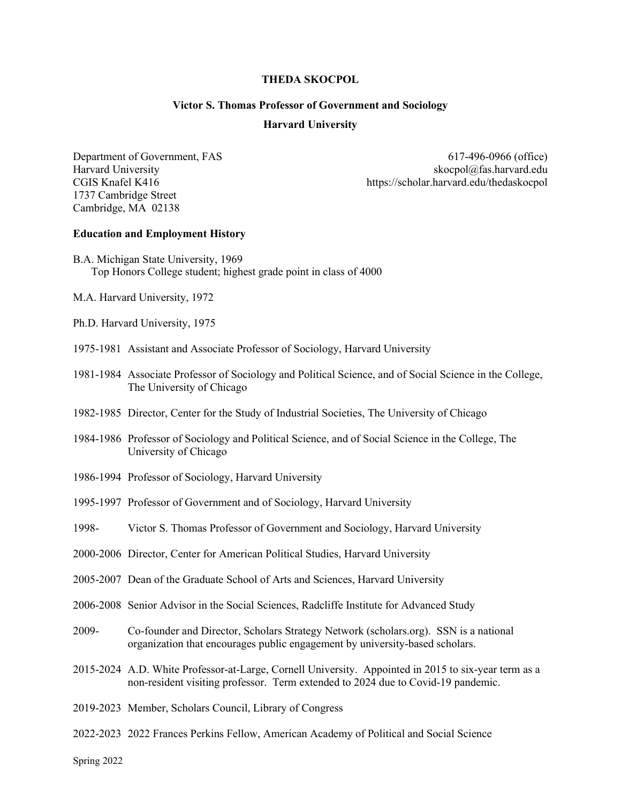#### **THEDA SKOCPOL**

## **Victor S. Thomas Professor of Government and Sociology**

#### **Harvard University**

1737 Cambridge Street Cambridge, MA 02138

Department of Government, FAS 617-496-0966 (office) Harvard University<br>CGIS Knafel K416<br>https://scholar.harvard.edu/thedaskocpol https://scholar.harvard.edu/thedaskocpol

#### **Education and Employment History**

- B.A. Michigan State University, 1969 Top Honors College student; highest grade point in class of 4000
- M.A. Harvard University, 1972
- Ph.D. Harvard University, 1975
- 1975-1981 Assistant and Associate Professor of Sociology, Harvard University
- 1981-1984 Associate Professor of Sociology and Political Science, and of Social Science in the College, The University of Chicago
- 1982-1985 Director, Center for the Study of Industrial Societies, The University of Chicago
- 1984-1986 Professor of Sociology and Political Science, and of Social Science in the College, The University of Chicago
- 1986-1994 Professor of Sociology, Harvard University
- 1995-1997 Professor of Government and of Sociology, Harvard University
- 1998- Victor S. Thomas Professor of Government and Sociology, Harvard University
- 2000-2006 Director, Center for American Political Studies, Harvard University
- 2005-2007 Dean of the Graduate School of Arts and Sciences, Harvard University
- 2006-2008 Senior Advisor in the Social Sciences, Radcliffe Institute for Advanced Study
- 2009- Co-founder and Director, Scholars Strategy Network (scholars.org). SSN is a national organization that encourages public engagement by university-based scholars.
- 2015-2024 A.D. White Professor-at-Large, Cornell University. Appointed in 2015 to six-year term as a non-resident visiting professor. Term extended to 2024 due to Covid-19 pandemic.
- 2019-2023 Member, Scholars Council, Library of Congress
- 2022-2023 2022 Frances Perkins Fellow, American Academy of Political and Social Science

Spring 2022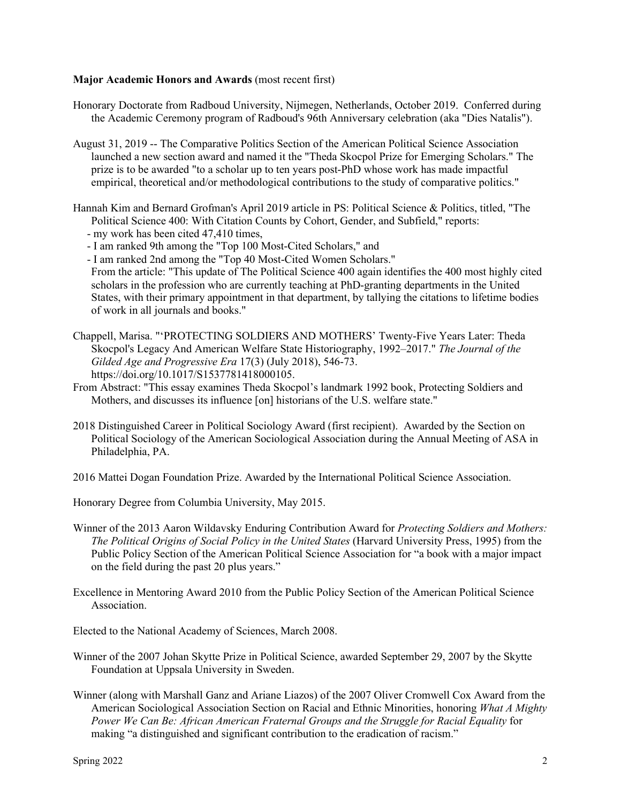### **Major Academic Honors and Awards** (most recent first)

- Honorary Doctorate from Radboud University, Nijmegen, Netherlands, October 2019. Conferred during the Academic Ceremony program of Radboud's 96th Anniversary celebration (aka "Dies Natalis").
- August 31, 2019 -- The Comparative Politics Section of the American Political Science Association launched a new section award and named it the "Theda Skocpol Prize for Emerging Scholars." The prize is to be awarded "to a scholar up to ten years post-PhD whose work has made impactful empirical, theoretical and/or methodological contributions to the study of comparative politics."
- Hannah Kim and Bernard Grofman's April 2019 article in PS: Political Science & Politics, titled, "The Political Science 400: With Citation Counts by Cohort, Gender, and Subfield," reports: - my work has been cited 47,410 times,
	- I am ranked 9th among the "Top 100 Most-Cited Scholars," and
	- I am ranked 2nd among the "Top 40 Most-Cited Women Scholars." From the article: "This update of The Political Science 400 again identifies the 400 most highly cited scholars in the profession who are currently teaching at PhD-granting departments in the United States, with their primary appointment in that department, by tallying the citations to lifetime bodies of work in all journals and books."
- Chappell, Marisa. "'PROTECTING SOLDIERS AND MOTHERS' Twenty-Five Years Later: Theda Skocpol's Legacy And American Welfare State Historiography, 1992–2017." *The Journal of the Gilded Age and Progressive Era* 17(3) (July 2018), 546-73. https://doi.org/10.1017/S1537781418000105.
- From Abstract: "This essay examines Theda Skocpol's landmark 1992 book, Protecting Soldiers and Mothers, and discusses its influence [on] historians of the U.S. welfare state."
- 2018 Distinguished Career in Political Sociology Award (first recipient). Awarded by the Section on Political Sociology of the American Sociological Association during the Annual Meeting of ASA in Philadelphia, PA.
- 2016 Mattei Dogan Foundation Prize. Awarded by the International Political Science Association.

Honorary Degree from Columbia University, May 2015.

- Winner of the 2013 Aaron Wildavsky Enduring Contribution Award for *Protecting Soldiers and Mothers: The Political Origins of Social Policy in the United States* (Harvard University Press, 1995) from the Public Policy Section of the American Political Science Association for "a book with a major impact on the field during the past 20 plus years."
- Excellence in Mentoring Award 2010 from the Public Policy Section of the American Political Science Association.
- Elected to the National Academy of Sciences, March 2008.
- Winner of the 2007 Johan Skytte Prize in Political Science, awarded September 29, 2007 by the Skytte Foundation at Uppsala University in Sweden.
- Winner (along with Marshall Ganz and Ariane Liazos) of the 2007 Oliver Cromwell Cox Award from the American Sociological Association Section on Racial and Ethnic Minorities, honoring *What A Mighty Power We Can Be: African American Fraternal Groups and the Struggle for Racial Equality* for making "a distinguished and significant contribution to the eradication of racism."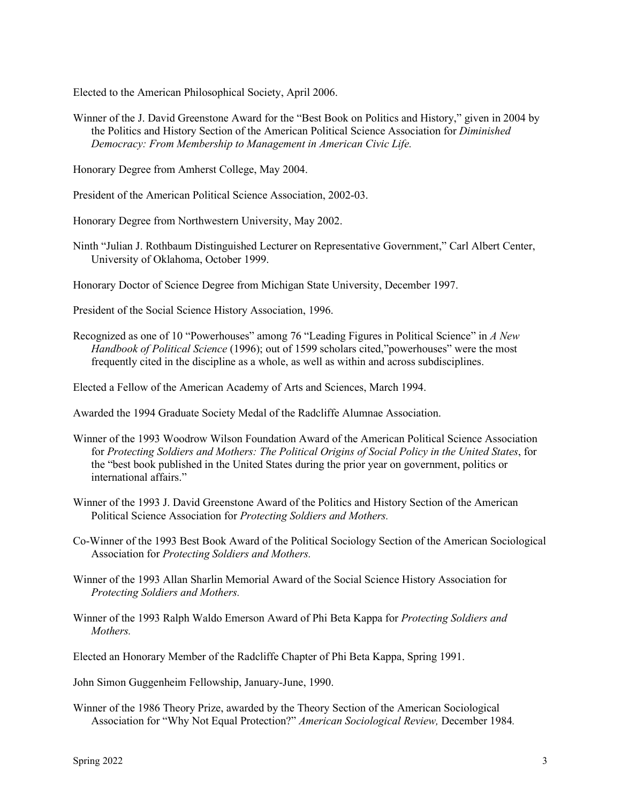Elected to the American Philosophical Society, April 2006.

Winner of the J. David Greenstone Award for the "Best Book on Politics and History," given in 2004 by the Politics and History Section of the American Political Science Association for *Diminished Democracy: From Membership to Management in American Civic Life.*

Honorary Degree from Amherst College, May 2004.

President of the American Political Science Association, 2002-03.

Honorary Degree from Northwestern University, May 2002.

- Ninth "Julian J. Rothbaum Distinguished Lecturer on Representative Government," Carl Albert Center, University of Oklahoma, October 1999.
- Honorary Doctor of Science Degree from Michigan State University, December 1997.

President of the Social Science History Association, 1996.

Recognized as one of 10 "Powerhouses" among 76 "Leading Figures in Political Science" in *A New Handbook of Political Science* (1996); out of 1599 scholars cited,"powerhouses" were the most frequently cited in the discipline as a whole, as well as within and across subdisciplines.

Elected a Fellow of the American Academy of Arts and Sciences, March 1994.

Awarded the 1994 Graduate Society Medal of the Radcliffe Alumnae Association.

- Winner of the 1993 Woodrow Wilson Foundation Award of the American Political Science Association for *Protecting Soldiers and Mothers: The Political Origins of Social Policy in the United States*, for the "best book published in the United States during the prior year on government, politics or international affairs."
- Winner of the 1993 J. David Greenstone Award of the Politics and History Section of the American Political Science Association for *Protecting Soldiers and Mothers.*
- Co-Winner of the 1993 Best Book Award of the Political Sociology Section of the American Sociological Association for *Protecting Soldiers and Mothers.*
- Winner of the 1993 Allan Sharlin Memorial Award of the Social Science History Association for *Protecting Soldiers and Mothers.*
- Winner of the 1993 Ralph Waldo Emerson Award of Phi Beta Kappa for *Protecting Soldiers and Mothers.*

Elected an Honorary Member of the Radcliffe Chapter of Phi Beta Kappa, Spring 1991.

John Simon Guggenheim Fellowship, January-June, 1990.

Winner of the 1986 Theory Prize, awarded by the Theory Section of the American Sociological Association for "Why Not Equal Protection?" *American Sociological Review,* December 1984*.*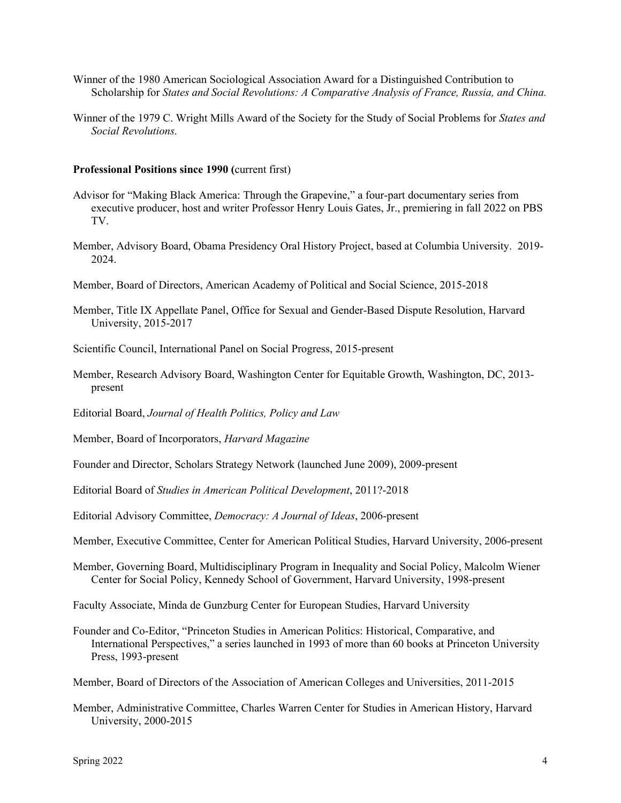- Winner of the 1980 American Sociological Association Award for a Distinguished Contribution to Scholarship for *States and Social Revolutions: A Comparative Analysis of France, Russia, and China.*
- Winner of the 1979 C. Wright Mills Award of the Society for the Study of Social Problems for *States and Social Revolutions.*

#### **Professional Positions since 1990 (**current first)

- Advisor for "Making Black America: Through the Grapevine," a four-part documentary series from executive producer, host and writer Professor Henry Louis Gates, Jr., premiering in fall 2022 on PBS TV.
- Member, Advisory Board, Obama Presidency Oral History Project, based at Columbia University. 2019- 2024.
- Member, Board of Directors, American Academy of Political and Social Science, 2015-2018
- Member, Title IX Appellate Panel, Office for Sexual and Gender-Based Dispute Resolution, Harvard University, 2015-2017
- Scientific Council, International Panel on Social Progress, 2015-present
- Member, Research Advisory Board, Washington Center for Equitable Growth, Washington, DC, 2013 present
- Editorial Board, *Journal of Health Politics, Policy and Law*
- Member, Board of Incorporators, *Harvard Magazine*
- Founder and Director, Scholars Strategy Network (launched June 2009), 2009-present
- Editorial Board of *Studies in American Political Development*, 2011?-2018
- Editorial Advisory Committee, *Democracy: A Journal of Ideas*, 2006-present
- Member, Executive Committee, Center for American Political Studies, Harvard University, 2006-present
- Member, Governing Board, Multidisciplinary Program in Inequality and Social Policy, Malcolm Wiener Center for Social Policy, Kennedy School of Government, Harvard University, 1998-present

Faculty Associate, Minda de Gunzburg Center for European Studies, Harvard University

- Founder and Co-Editor, "Princeton Studies in American Politics: Historical, Comparative, and International Perspectives," a series launched in 1993 of more than 60 books at Princeton University Press, 1993-present
- Member, Board of Directors of the Association of American Colleges and Universities, 2011-2015
- Member, Administrative Committee, Charles Warren Center for Studies in American History, Harvard University, 2000-2015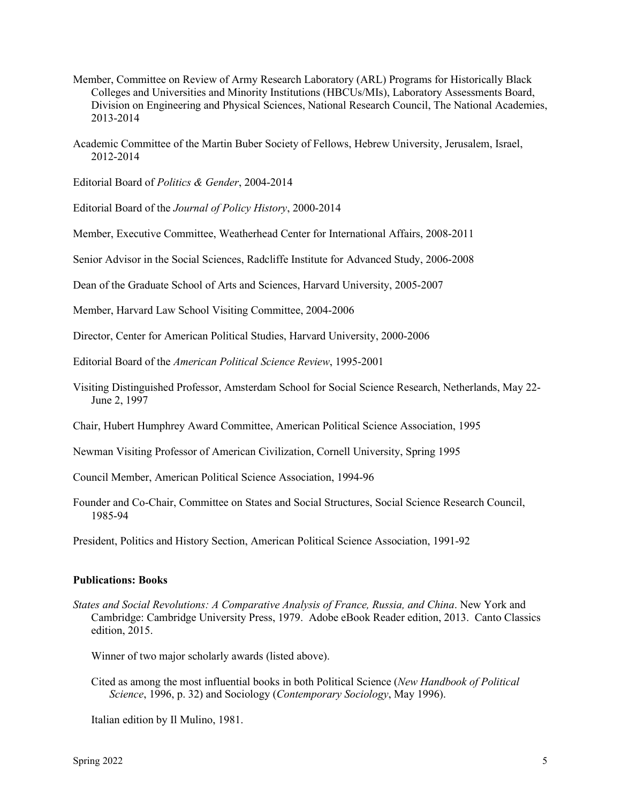- Member, Committee on Review of Army Research Laboratory (ARL) Programs for Historically Black Colleges and Universities and Minority Institutions (HBCUs/MIs), Laboratory Assessments Board, Division on Engineering and Physical Sciences, National Research Council, The National Academies, 2013-2014
- Academic Committee of the Martin Buber Society of Fellows, Hebrew University, Jerusalem, Israel, 2012-2014

Editorial Board of *Politics & Gender*, 2004-2014

Editorial Board of the *Journal of Policy History*, 2000-2014

Member, Executive Committee, Weatherhead Center for International Affairs, 2008-2011

Senior Advisor in the Social Sciences, Radcliffe Institute for Advanced Study, 2006-2008

Dean of the Graduate School of Arts and Sciences, Harvard University, 2005-2007

Member, Harvard Law School Visiting Committee, 2004-2006

Director, Center for American Political Studies, Harvard University, 2000-2006

Editorial Board of the *American Political Science Review*, 1995-2001

Visiting Distinguished Professor, Amsterdam School for Social Science Research, Netherlands, May 22- June 2, 1997

Chair, Hubert Humphrey Award Committee, American Political Science Association, 1995

Newman Visiting Professor of American Civilization, Cornell University, Spring 1995

Council Member, American Political Science Association, 1994-96

Founder and Co-Chair, Committee on States and Social Structures, Social Science Research Council, 1985-94

President, Politics and History Section, American Political Science Association, 1991-92

### **Publications: Books**

*States and Social Revolutions: A Comparative Analysis of France, Russia, and China*. New York and Cambridge: Cambridge University Press, 1979. Adobe eBook Reader edition, 2013. Canto Classics edition, 2015.

Winner of two major scholarly awards (listed above).

Cited as among the most influential books in both Political Science (*New Handbook of Political Science*, 1996, p. 32) and Sociology (*Contemporary Sociology*, May 1996).

Italian edition by Il Mulino, 1981.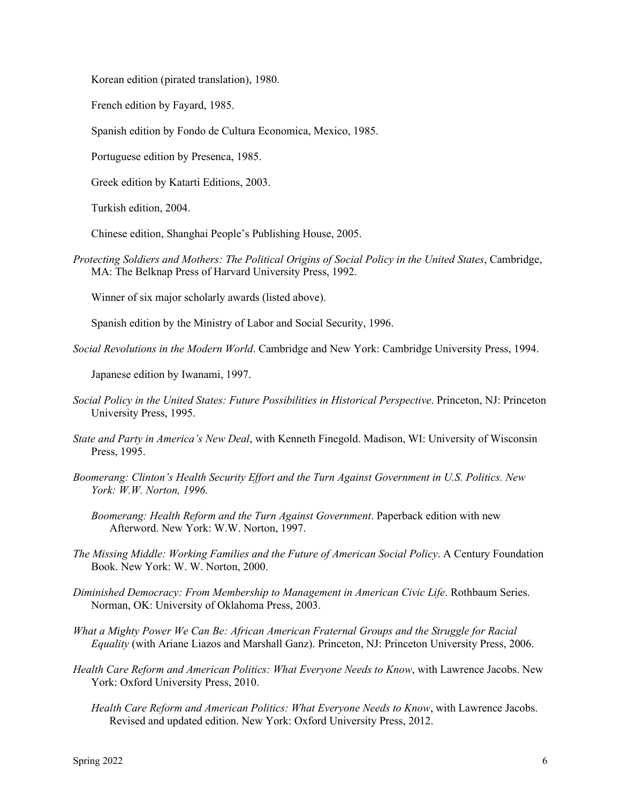Korean edition (pirated translation), 1980.

French edition by Fayard, 1985.

Spanish edition by Fondo de Cultura Economica, Mexico, 1985.

Portuguese edition by Presenca, 1985.

Greek edition by Katarti Editions, 2003.

Turkish edition, 2004.

Chinese edition, Shanghai People's Publishing House, 2005.

*Protecting Soldiers and Mothers: The Political Origins of Social Policy in the United States*, Cambridge, MA: The Belknap Press of Harvard University Press, 1992.

Winner of six major scholarly awards (listed above).

Spanish edition by the Ministry of Labor and Social Security, 1996.

*Social Revolutions in the Modern World*. Cambridge and New York: Cambridge University Press, 1994.

Japanese edition by Iwanami, 1997.

- *Social Policy in the United States: Future Possibilities in Historical Perspective*. Princeton, NJ: Princeton University Press, 1995.
- *State and Party in America's New Deal*, with Kenneth Finegold. Madison, WI: University of Wisconsin Press, 1995.
- *Boomerang: Clinton's Health Security Effort and the Turn Against Government in U.S. Politics. New York: W.W. Norton, 1996.* 
	- *Boomerang: Health Reform and the Turn Against Government*. Paperback edition with new Afterword. New York: W.W. Norton, 1997.
- *The Missing Middle: Working Families and the Future of American Social Policy*. A Century Foundation Book. New York: W. W. Norton, 2000.
- *Diminished Democracy: From Membership to Management in American Civic Life*. Rothbaum Series. Norman, OK: University of Oklahoma Press, 2003.
- *What a Mighty Power We Can Be: African American Fraternal Groups and the Struggle for Racial Equality* (with Ariane Liazos and Marshall Ganz). Princeton, NJ: Princeton University Press, 2006.
- *Health Care Reform and American Politics: What Everyone Needs to Know*, with Lawrence Jacobs. New York: Oxford University Press, 2010.
	- *Health Care Reform and American Politics: What Everyone Needs to Know*, with Lawrence Jacobs. Revised and updated edition. New York: Oxford University Press, 2012.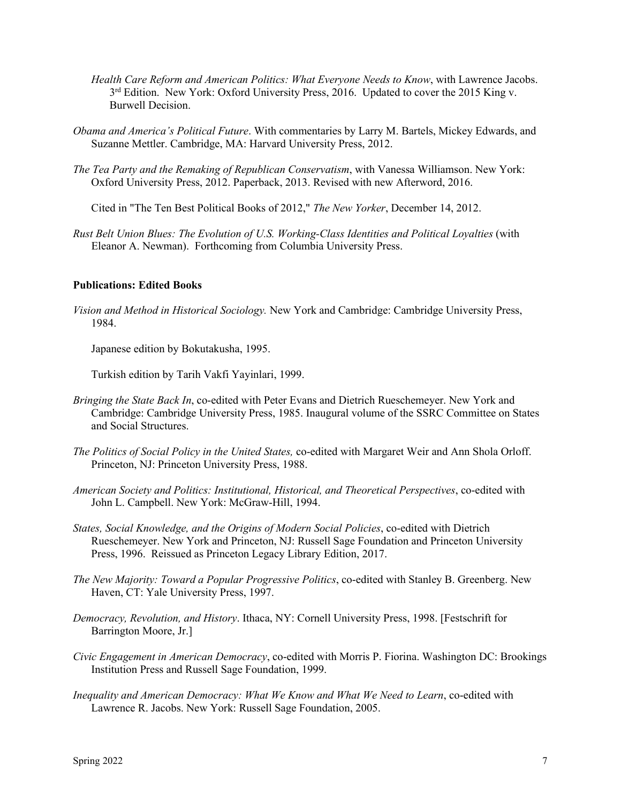- *Health Care Reform and American Politics: What Everyone Needs to Know*, with Lawrence Jacobs.  $3<sup>rd</sup>$  Edition. New York: Oxford University Press, 2016. Updated to cover the 2015 King v. Burwell Decision.
- *Obama and America's Political Future*. With commentaries by Larry M. Bartels, Mickey Edwards, and Suzanne Mettler. Cambridge, MA: Harvard University Press, 2012.
- *The Tea Party and the Remaking of Republican Conservatism*, with Vanessa Williamson. New York: Oxford University Press, 2012. Paperback, 2013. Revised with new Afterword, 2016.

Cited in "The Ten Best Political Books of 2012," *The New Yorker*, December 14, 2012.

*Rust Belt Union Blues: The Evolution of U.S. Working-Class Identities and Political Loyalties* (with Eleanor A. Newman). Forthcoming from Columbia University Press.

## **Publications: Edited Books**

*Vision and Method in Historical Sociology.* New York and Cambridge: Cambridge University Press, 1984.

Japanese edition by Bokutakusha, 1995.

Turkish edition by Tarih Vakfi Yayinlari, 1999.

- *Bringing the State Back In*, co-edited with Peter Evans and Dietrich Rueschemeyer. New York and Cambridge: Cambridge University Press, 1985. Inaugural volume of the SSRC Committee on States and Social Structures.
- *The Politics of Social Policy in the United States,* co-edited with Margaret Weir and Ann Shola Orloff. Princeton, NJ: Princeton University Press, 1988.
- *American Society and Politics: Institutional, Historical, and Theoretical Perspectives*, co-edited with John L. Campbell. New York: McGraw-Hill, 1994.
- *States, Social Knowledge, and the Origins of Modern Social Policies*, co-edited with Dietrich Rueschemeyer. New York and Princeton, NJ: Russell Sage Foundation and Princeton University Press, 1996. Reissued as Princeton Legacy Library Edition, 2017.
- *The New Majority: Toward a Popular Progressive Politics*, co-edited with Stanley B. Greenberg. New Haven, CT: Yale University Press, 1997.
- *Democracy, Revolution, and History*. Ithaca, NY: Cornell University Press, 1998. [Festschrift for Barrington Moore, Jr.]
- *Civic Engagement in American Democracy*, co-edited with Morris P. Fiorina. Washington DC: Brookings Institution Press and Russell Sage Foundation, 1999.
- *Inequality and American Democracy: What We Know and What We Need to Learn*, co-edited with Lawrence R. Jacobs. New York: Russell Sage Foundation, 2005.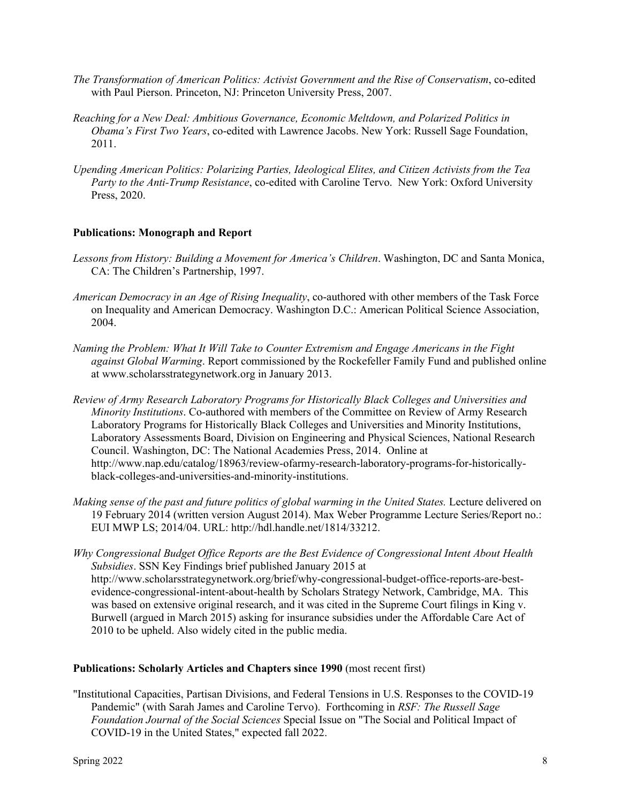- *The Transformation of American Politics: Activist Government and the Rise of Conservatism*, co-edited with Paul Pierson. Princeton, NJ: Princeton University Press, 2007.
- *Reaching for a New Deal: Ambitious Governance, Economic Meltdown, and Polarized Politics in Obama's First Two Years*, co-edited with Lawrence Jacobs. New York: Russell Sage Foundation, 2011.
- *Upending American Politics: Polarizing Parties, Ideological Elites, and Citizen Activists from the Tea Party to the Anti-Trump Resistance*, co-edited with Caroline Tervo. New York: Oxford University Press, 2020.

# **Publications: Monograph and Report**

- *Lessons from History: Building a Movement for America's Children*. Washington, DC and Santa Monica, CA: The Children's Partnership, 1997.
- *American Democracy in an Age of Rising Inequality*, co-authored with other members of the Task Force on Inequality and American Democracy. Washington D.C.: American Political Science Association, 2004.
- *Naming the Problem: What It Will Take to Counter Extremism and Engage Americans in the Fight against Global Warming*. Report commissioned by the Rockefeller Family Fund and published online at www.scholarsstrategynetwork.org in January 2013.
- *Review of Army Research Laboratory Programs for Historically Black Colleges and Universities and Minority Institutions*. Co-authored with members of the Committee on Review of Army Research Laboratory Programs for Historically Black Colleges and Universities and Minority Institutions, Laboratory Assessments Board, Division on Engineering and Physical Sciences, National Research Council. Washington, DC: The National Academies Press, 2014. Online at http://www.nap.edu/catalog/18963/review-ofarmy-research-laboratory-programs-for-historicallyblack-colleges-and-universities-and-minority-institutions.
- *Making sense of the past and future politics of global warming in the United States.* Lecture delivered on 19 February 2014 (written version August 2014). Max Weber Programme Lecture Series/Report no.: EUI MWP LS; 2014/04. URL: http://hdl.handle.net/1814/33212.
- *Why Congressional Budget Office Reports are the Best Evidence of Congressional Intent About Health Subsidies*. SSN Key Findings brief published January 2015 at http://www.scholarsstrategynetwork.org/brief/why-congressional-budget-office-reports-are-bestevidence-congressional-intent-about-health by Scholars Strategy Network, Cambridge, MA. This was based on extensive original research, and it was cited in the Supreme Court filings in King v. Burwell (argued in March 2015) asking for insurance subsidies under the Affordable Care Act of 2010 to be upheld. Also widely cited in the public media.

### **Publications: Scholarly Articles and Chapters since 1990** (most recent first)

"Institutional Capacities, Partisan Divisions, and Federal Tensions in U.S. Responses to the COVID-19 Pandemic" (with Sarah James and Caroline Tervo). Forthcoming in *RSF: The Russell Sage Foundation Journal of the Social Sciences* Special Issue on "The Social and Political Impact of COVID-19 in the United States," expected fall 2022.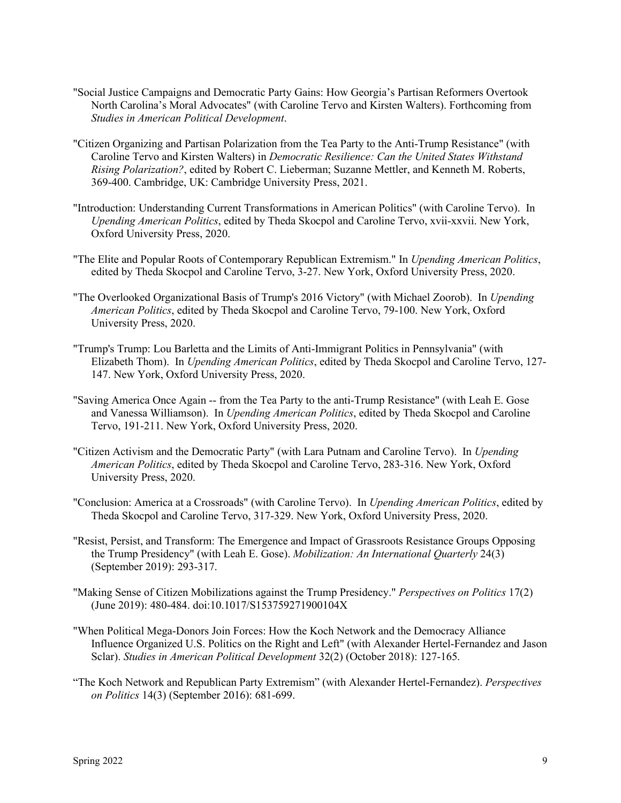- "Social Justice Campaigns and Democratic Party Gains: How Georgia's Partisan Reformers Overtook North Carolina's Moral Advocates" (with Caroline Tervo and Kirsten Walters). Forthcoming from *Studies in American Political Development*.
- "Citizen Organizing and Partisan Polarization from the Tea Party to the Anti-Trump Resistance" (with Caroline Tervo and Kirsten Walters) in *Democratic Resilience: Can the United States Withstand Rising Polarization?*, edited by Robert C. Lieberman; Suzanne Mettler, and Kenneth M. Roberts, 369-400. Cambridge, UK: Cambridge University Press, 2021.
- "Introduction: Understanding Current Transformations in American Politics" (with Caroline Tervo). In *Upending American Politics*, edited by Theda Skocpol and Caroline Tervo, xvii-xxvii. New York, Oxford University Press, 2020.
- "The Elite and Popular Roots of Contemporary Republican Extremism." In *Upending American Politics*, edited by Theda Skocpol and Caroline Tervo, 3-27. New York, Oxford University Press, 2020.
- "The Overlooked Organizational Basis of Trump's 2016 Victory" (with Michael Zoorob). In *Upending American Politics*, edited by Theda Skocpol and Caroline Tervo, 79-100. New York, Oxford University Press, 2020.
- "Trump's Trump: Lou Barletta and the Limits of Anti-Immigrant Politics in Pennsylvania" (with Elizabeth Thom). In *Upending American Politics*, edited by Theda Skocpol and Caroline Tervo, 127- 147. New York, Oxford University Press, 2020.
- "Saving America Once Again -- from the Tea Party to the anti-Trump Resistance" (with Leah E. Gose and Vanessa Williamson). In *Upending American Politics*, edited by Theda Skocpol and Caroline Tervo, 191-211. New York, Oxford University Press, 2020.
- "Citizen Activism and the Democratic Party" (with Lara Putnam and Caroline Tervo). In *Upending American Politics*, edited by Theda Skocpol and Caroline Tervo, 283-316. New York, Oxford University Press, 2020.
- "Conclusion: America at a Crossroads" (with Caroline Tervo). In *Upending American Politics*, edited by Theda Skocpol and Caroline Tervo, 317-329. New York, Oxford University Press, 2020.
- "Resist, Persist, and Transform: The Emergence and Impact of Grassroots Resistance Groups Opposing the Trump Presidency" (with Leah E. Gose). *Mobilization: An International Quarterly* 24(3) (September 2019): 293-317.
- "Making Sense of Citizen Mobilizations against the Trump Presidency." *Perspectives on Politics* 17(2) (June 2019): 480-484. doi:10.1017/S153759271900104X
- "When Political Mega-Donors Join Forces: How the Koch Network and the Democracy Alliance Influence Organized U.S. Politics on the Right and Left" (with Alexander Hertel-Fernandez and Jason Sclar). *Studies in American Political Development* 32(2) (October 2018): 127-165.
- "The Koch Network and Republican Party Extremism" (with Alexander Hertel-Fernandez). *Perspectives on Politics* 14(3) (September 2016): 681-699.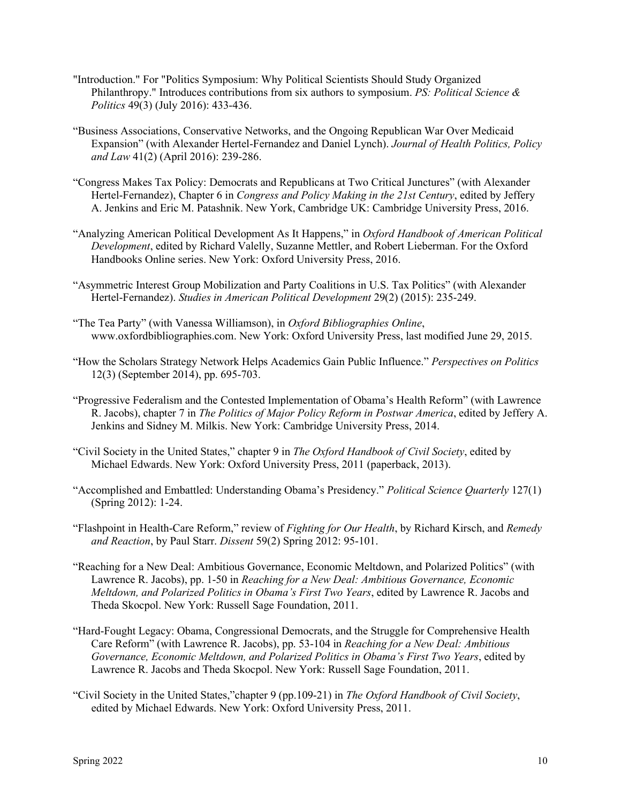- "Introduction." For "Politics Symposium: Why Political Scientists Should Study Organized Philanthropy." Introduces contributions from six authors to symposium. *PS: Political Science & Politics* 49(3) (July 2016): 433-436.
- "Business Associations, Conservative Networks, and the Ongoing Republican War Over Medicaid Expansion" (with Alexander Hertel-Fernandez and Daniel Lynch). *Journal of Health Politics, Policy and Law* 41(2) (April 2016): 239-286.
- "Congress Makes Tax Policy: Democrats and Republicans at Two Critical Junctures" (with Alexander Hertel-Fernandez), Chapter 6 in *Congress and Policy Making in the 21st Century*, edited by Jeffery A. Jenkins and Eric M. Patashnik. New York, Cambridge UK: Cambridge University Press, 2016.
- "Analyzing American Political Development As It Happens," in *Oxford Handbook of American Political Development*, edited by Richard Valelly, Suzanne Mettler, and Robert Lieberman. For the Oxford Handbooks Online series. New York: Oxford University Press, 2016.
- "Asymmetric Interest Group Mobilization and Party Coalitions in U.S. Tax Politics" (with Alexander Hertel-Fernandez). *Studies in American Political Development* 29(2) (2015): 235-249.
- "The Tea Party" (with Vanessa Williamson), in *Oxford Bibliographies Online*, www.oxfordbibliographies.com. New York: Oxford University Press, last modified June 29, 2015.
- "How the Scholars Strategy Network Helps Academics Gain Public Influence." *Perspectives on Politics*  12(3) (September 2014), pp. 695-703.
- "Progressive Federalism and the Contested Implementation of Obama's Health Reform" (with Lawrence R. Jacobs), chapter 7 in *The Politics of Major Policy Reform in Postwar America*, edited by Jeffery A. Jenkins and Sidney M. Milkis. New York: Cambridge University Press, 2014.
- "Civil Society in the United States," chapter 9 in *The Oxford Handbook of Civil Society*, edited by Michael Edwards. New York: Oxford University Press, 2011 (paperback, 2013).
- "Accomplished and Embattled: Understanding Obama's Presidency." *Political Science Quarterly* 127(1) (Spring 2012): 1-24.
- "Flashpoint in Health-Care Reform," review of *Fighting for Our Health*, by Richard Kirsch, and *Remedy and Reaction*, by Paul Starr. *Dissent* 59(2) Spring 2012: 95-101.
- "Reaching for a New Deal: Ambitious Governance, Economic Meltdown, and Polarized Politics" (with Lawrence R. Jacobs), pp. 1-50 in *Reaching for a New Deal: Ambitious Governance, Economic Meltdown, and Polarized Politics in Obama's First Two Years*, edited by Lawrence R. Jacobs and Theda Skocpol. New York: Russell Sage Foundation, 2011.
- "Hard-Fought Legacy: Obama, Congressional Democrats, and the Struggle for Comprehensive Health Care Reform" (with Lawrence R. Jacobs), pp. 53-104 in *Reaching for a New Deal: Ambitious Governance, Economic Meltdown, and Polarized Politics in Obama's First Two Years*, edited by Lawrence R. Jacobs and Theda Skocpol. New York: Russell Sage Foundation, 2011.
- "Civil Society in the United States,"chapter 9 (pp.109-21) in *The Oxford Handbook of Civil Society*, edited by Michael Edwards. New York: Oxford University Press, 2011.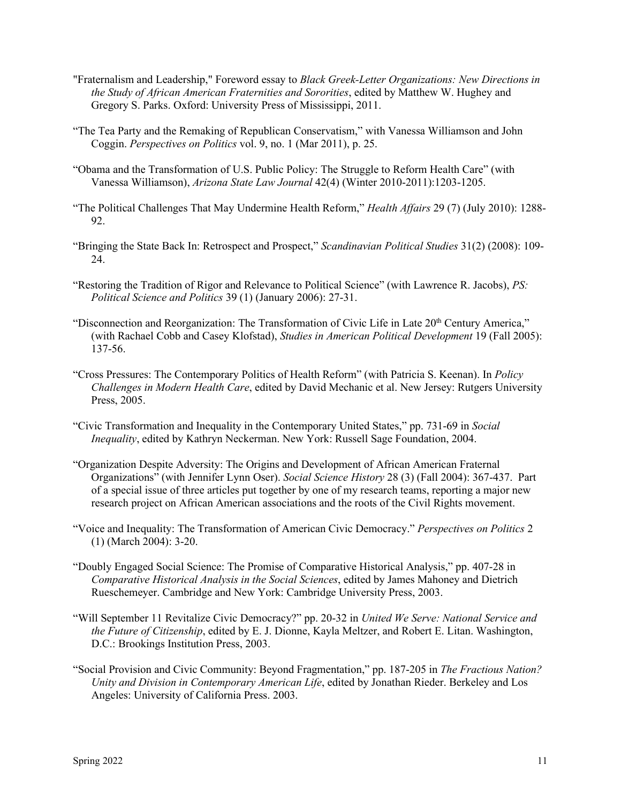- "Fraternalism and Leadership," Foreword essay to *Black Greek-Letter Organizations: New Directions in the Study of African American Fraternities and Sororities*, edited by Matthew W. Hughey and Gregory S. Parks. Oxford: University Press of Mississippi, 2011.
- "The Tea Party and the Remaking of Republican Conservatism," with Vanessa Williamson and John Coggin. *Perspectives on Politics* vol. 9, no. 1 (Mar 2011), p. 25.
- "Obama and the Transformation of U.S. Public Policy: The Struggle to Reform Health Care" (with Vanessa Williamson), *Arizona State Law Journal* 42(4) (Winter 2010-2011):1203-1205.
- "The Political Challenges That May Undermine Health Reform," *Health Affairs* 29 (7) (July 2010): 1288- 92.
- "Bringing the State Back In: Retrospect and Prospect," *Scandinavian Political Studies* 31(2) (2008): 109- 24.
- "Restoring the Tradition of Rigor and Relevance to Political Science" (with Lawrence R. Jacobs), *PS: Political Science and Politics* 39 (1) (January 2006): 27-31.
- "Disconnection and Reorganization: The Transformation of Civic Life in Late 20<sup>th</sup> Century America," (with Rachael Cobb and Casey Klofstad), *Studies in American Political Development* 19 (Fall 2005): 137-56.
- "Cross Pressures: The Contemporary Politics of Health Reform" (with Patricia S. Keenan). In *Policy Challenges in Modern Health Care*, edited by David Mechanic et al. New Jersey: Rutgers University Press, 2005.
- "Civic Transformation and Inequality in the Contemporary United States," pp. 731-69 in *Social Inequality*, edited by Kathryn Neckerman. New York: Russell Sage Foundation, 2004.
- "Organization Despite Adversity: The Origins and Development of African American Fraternal Organizations" (with Jennifer Lynn Oser). *Social Science History* 28 (3) (Fall 2004): 367-437. Part of a special issue of three articles put together by one of my research teams, reporting a major new research project on African American associations and the roots of the Civil Rights movement.
- "Voice and Inequality: The Transformation of American Civic Democracy." *Perspectives on Politics* 2 (1) (March 2004): 3-20.
- "Doubly Engaged Social Science: The Promise of Comparative Historical Analysis," pp. 407-28 in *Comparative Historical Analysis in the Social Sciences*, edited by James Mahoney and Dietrich Rueschemeyer. Cambridge and New York: Cambridge University Press, 2003.
- "Will September 11 Revitalize Civic Democracy?" pp. 20-32 in *United We Serve: National Service and the Future of Citizenship*, edited by E. J. Dionne, Kayla Meltzer, and Robert E. Litan. Washington, D.C.: Brookings Institution Press, 2003.
- "Social Provision and Civic Community: Beyond Fragmentation," pp. 187-205 in *The Fractious Nation? Unity and Division in Contemporary American Life*, edited by Jonathan Rieder. Berkeley and Los Angeles: University of California Press. 2003.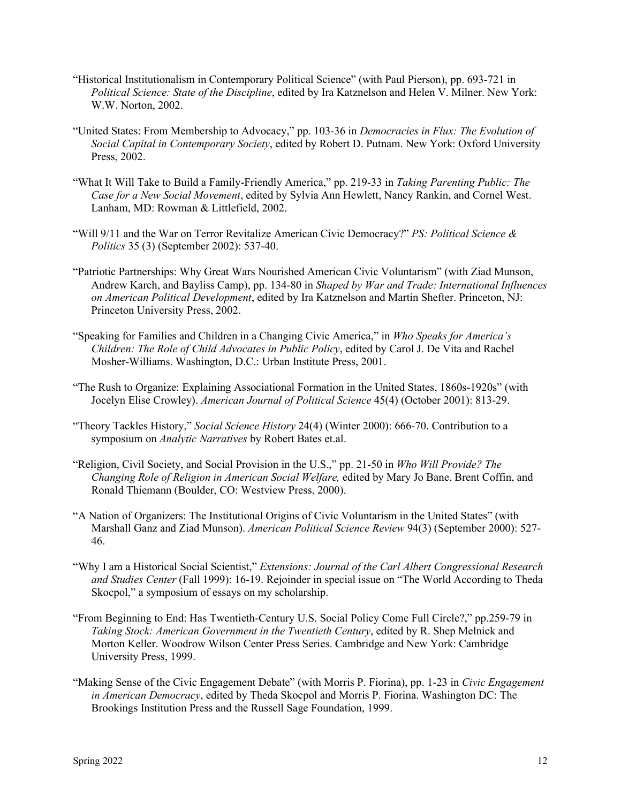- "Historical Institutionalism in Contemporary Political Science" (with Paul Pierson), pp. 693-721 in *Political Science: State of the Discipline*, edited by Ira Katznelson and Helen V. Milner. New York: W.W. Norton, 2002.
- "United States: From Membership to Advocacy," pp. 103-36 in *Democracies in Flux: The Evolution of Social Capital in Contemporary Society*, edited by Robert D. Putnam. New York: Oxford University Press, 2002.
- "What It Will Take to Build a Family-Friendly America," pp. 219-33 in *Taking Parenting Public: The Case for a New Social Movement*, edited by Sylvia Ann Hewlett, Nancy Rankin, and Cornel West. Lanham, MD: Rowman & Littlefield, 2002.
- "Will 9/11 and the War on Terror Revitalize American Civic Democracy?" *PS: Political Science & Politics* 35 (3) (September 2002): 537-40.
- "Patriotic Partnerships: Why Great Wars Nourished American Civic Voluntarism" (with Ziad Munson, Andrew Karch, and Bayliss Camp), pp. 134-80 in *Shaped by War and Trade: International Influences on American Political Development*, edited by Ira Katznelson and Martin Shefter. Princeton, NJ: Princeton University Press, 2002.
- "Speaking for Families and Children in a Changing Civic America," in *Who Speaks for America's Children: The Role of Child Advocates in Public Policy*, edited by Carol J. De Vita and Rachel Mosher-Williams. Washington, D.C.: Urban Institute Press, 2001.
- "The Rush to Organize: Explaining Associational Formation in the United States, 1860s-1920s" (with Jocelyn Elise Crowley). *American Journal of Political Science* 45(4) (October 2001): 813-29.
- "Theory Tackles History," *Social Science History* 24(4) (Winter 2000): 666-70. Contribution to a symposium on *Analytic Narratives* by Robert Bates et.al.
- "Religion, Civil Society, and Social Provision in the U.S.," pp. 21-50 in *Who Will Provide? The Changing Role of Religion in American Social Welfare,* edited by Mary Jo Bane, Brent Coffin, and Ronald Thiemann (Boulder, CO: Westview Press, 2000).
- "A Nation of Organizers: The Institutional Origins of Civic Voluntarism in the United States" (with Marshall Ganz and Ziad Munson). *American Political Science Review* 94(3) (September 2000): 527- 46.
- "Why I am a Historical Social Scientist," *Extensions: Journal of the Carl Albert Congressional Research and Studies Center* (Fall 1999): 16-19. Rejoinder in special issue on "The World According to Theda Skocpol," a symposium of essays on my scholarship.
- "From Beginning to End: Has Twentieth-Century U.S. Social Policy Come Full Circle?," pp.259-79 in *Taking Stock: American Government in the Twentieth Century*, edited by R. Shep Melnick and Morton Keller. Woodrow Wilson Center Press Series. Cambridge and New York: Cambridge University Press, 1999.
- "Making Sense of the Civic Engagement Debate" (with Morris P. Fiorina), pp. 1-23 in *Civic Engagement in American Democracy*, edited by Theda Skocpol and Morris P. Fiorina. Washington DC: The Brookings Institution Press and the Russell Sage Foundation, 1999.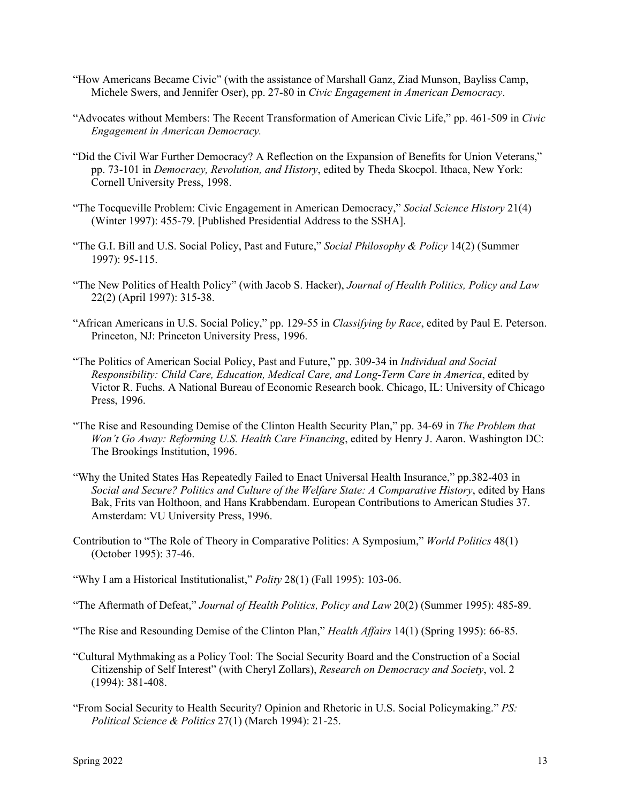- "How Americans Became Civic" (with the assistance of Marshall Ganz, Ziad Munson, Bayliss Camp, Michele Swers, and Jennifer Oser), pp. 27-80 in *Civic Engagement in American Democracy*.
- "Advocates without Members: The Recent Transformation of American Civic Life," pp. 461-509 in *Civic Engagement in American Democracy.*
- "Did the Civil War Further Democracy? A Reflection on the Expansion of Benefits for Union Veterans," pp. 73-101 in *Democracy, Revolution, and History*, edited by Theda Skocpol. Ithaca, New York: Cornell University Press, 1998.
- "The Tocqueville Problem: Civic Engagement in American Democracy," *Social Science History* 21(4) (Winter 1997): 455-79. [Published Presidential Address to the SSHA].
- "The G.I. Bill and U.S. Social Policy, Past and Future," *Social Philosophy & Policy* 14(2) (Summer 1997): 95-115.
- "The New Politics of Health Policy" (with Jacob S. Hacker), *Journal of Health Politics, Policy and Law*  22(2) (April 1997): 315-38.
- "African Americans in U.S. Social Policy," pp. 129-55 in *Classifying by Race*, edited by Paul E. Peterson. Princeton, NJ: Princeton University Press, 1996.
- "The Politics of American Social Policy, Past and Future," pp. 309-34 in *Individual and Social Responsibility: Child Care, Education, Medical Care, and Long-Term Care in America*, edited by Victor R. Fuchs. A National Bureau of Economic Research book. Chicago, IL: University of Chicago Press, 1996.
- "The Rise and Resounding Demise of the Clinton Health Security Plan," pp. 34-69 in *The Problem that Won't Go Away: Reforming U.S. Health Care Financing*, edited by Henry J. Aaron. Washington DC: The Brookings Institution, 1996.
- "Why the United States Has Repeatedly Failed to Enact Universal Health Insurance," pp.382-403 in *Social and Secure? Politics and Culture of the Welfare State: A Comparative History*, edited by Hans Bak, Frits van Holthoon, and Hans Krabbendam. European Contributions to American Studies 37. Amsterdam: VU University Press, 1996.
- Contribution to "The Role of Theory in Comparative Politics: A Symposium," *World Politics* 48(1) (October 1995): 37-46.
- "Why I am a Historical Institutionalist," *Polity* 28(1) (Fall 1995): 103-06.
- "The Aftermath of Defeat," *Journal of Health Politics, Policy and Law* 20(2) (Summer 1995): 485-89.
- "The Rise and Resounding Demise of the Clinton Plan," *Health Affairs* 14(1) (Spring 1995): 66-85.
- "Cultural Mythmaking as a Policy Tool: The Social Security Board and the Construction of a Social Citizenship of Self Interest" (with Cheryl Zollars), *Research on Democracy and Society*, vol. 2 (1994): 381-408.
- "From Social Security to Health Security? Opinion and Rhetoric in U.S. Social Policymaking." *PS: Political Science & Politics* 27(1) (March 1994): 21-25.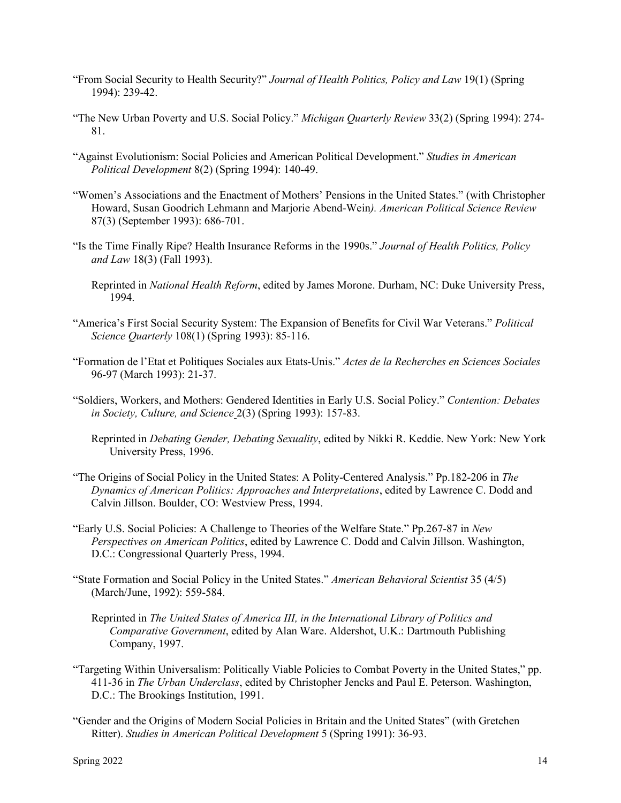- "From Social Security to Health Security?" *Journal of Health Politics, Policy and Law* 19(1) (Spring 1994): 239-42.
- "The New Urban Poverty and U.S. Social Policy." *Michigan Quarterly Review* 33(2) (Spring 1994): 274- 81.
- "Against Evolutionism: Social Policies and American Political Development." *Studies in American Political Development* 8(2) (Spring 1994): 140-49.
- "Women's Associations and the Enactment of Mothers' Pensions in the United States." (with Christopher Howard, Susan Goodrich Lehmann and Marjorie Abend-Wein*). American Political Science Review* 87(3) (September 1993): 686-701.
- "Is the Time Finally Ripe? Health Insurance Reforms in the 1990s." *Journal of Health Politics, Policy and Law* 18(3) (Fall 1993).
	- Reprinted in *National Health Reform*, edited by James Morone. Durham, NC: Duke University Press, 1994.
- "America's First Social Security System: The Expansion of Benefits for Civil War Veterans." *Political Science Quarterly* 108(1) (Spring 1993): 85-116.
- "Formation de l'Etat et Politiques Sociales aux Etats-Unis." *Actes de la Recherches en Sciences Sociales* 96-97 (March 1993): 21-37.
- "Soldiers, Workers, and Mothers: Gendered Identities in Early U.S. Social Policy." *Contention: Debates in Society, Culture, and Science* 2(3) (Spring 1993): 157-83.
	- Reprinted in *Debating Gender, Debating Sexuality*, edited by Nikki R. Keddie. New York: New York University Press, 1996.
- "The Origins of Social Policy in the United States: A Polity-Centered Analysis." Pp.182-206 in *The Dynamics of American Politics: Approaches and Interpretations*, edited by Lawrence C. Dodd and Calvin Jillson. Boulder, CO: Westview Press, 1994.
- "Early U.S. Social Policies: A Challenge to Theories of the Welfare State." Pp.267-87 in *New Perspectives on American Politics*, edited by Lawrence C. Dodd and Calvin Jillson. Washington, D.C.: Congressional Quarterly Press, 1994.
- "State Formation and Social Policy in the United States." *American Behavioral Scientist* 35 (4/5) (March/June, 1992): 559-584.
	- Reprinted in *The United States of America III, in the International Library of Politics and Comparative Government*, edited by Alan Ware. Aldershot, U.K.: Dartmouth Publishing Company, 1997.
- "Targeting Within Universalism: Politically Viable Policies to Combat Poverty in the United States," pp. 411-36 in *The Urban Underclass*, edited by Christopher Jencks and Paul E. Peterson. Washington, D.C.: The Brookings Institution, 1991.
- "Gender and the Origins of Modern Social Policies in Britain and the United States" (with Gretchen Ritter). *Studies in American Political Development* 5 (Spring 1991): 36-93.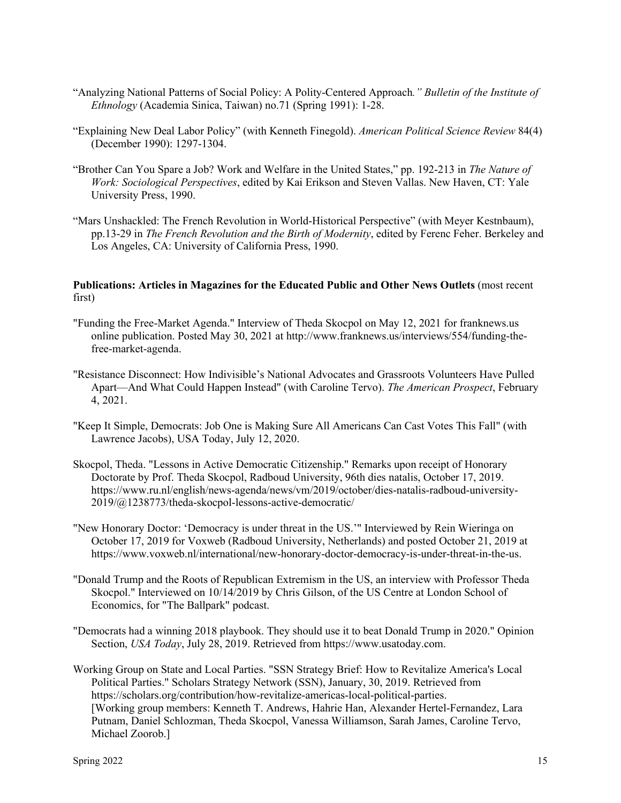- "Analyzing National Patterns of Social Policy: A Polity-Centered Approach*." Bulletin of the Institute of Ethnology* (Academia Sinica, Taiwan) no.71 (Spring 1991): 1-28.
- "Explaining New Deal Labor Policy" (with Kenneth Finegold). *American Political Science Review* 84(4) (December 1990): 1297-1304.
- "Brother Can You Spare a Job? Work and Welfare in the United States," pp. 192-213 in *The Nature of Work: Sociological Perspectives*, edited by Kai Erikson and Steven Vallas. New Haven, CT: Yale University Press, 1990.
- "Mars Unshackled: The French Revolution in World-Historical Perspective" (with Meyer Kestnbaum), pp.13-29 in *The French Revolution and the Birth of Modernity*, edited by Ferenc Feher. Berkeley and Los Angeles, CA: University of California Press, 1990.

# **Publications: Articles in Magazines for the Educated Public and Other News Outlets** (most recent first)

- "Funding the Free-Market Agenda." Interview of Theda Skocpol on May 12, 2021 for franknews.us online publication. Posted May 30, 2021 at http://www.franknews.us/interviews/554/funding-thefree-market-agenda.
- "Resistance Disconnect: How Indivisible's National Advocates and Grassroots Volunteers Have Pulled Apart—And What Could Happen Instead" (with Caroline Tervo). *The American Prospect*, February 4, 2021.
- "Keep It Simple, Democrats: Job One is Making Sure All Americans Can Cast Votes This Fall" (with Lawrence Jacobs), USA Today, July 12, 2020.
- Skocpol, Theda. "Lessons in Active Democratic Citizenship." Remarks upon receipt of Honorary Doctorate by Prof. Theda Skocpol, Radboud University, 96th dies natalis, October 17, 2019. https://www.ru.nl/english/news-agenda/news/vm/2019/october/dies-natalis-radboud-university-2019/@1238773/theda-skocpol-lessons-active-democratic/
- "New Honorary Doctor: 'Democracy is under threat in the US.'" Interviewed by Rein Wieringa on October 17, 2019 for Voxweb (Radboud University, Netherlands) and posted October 21, 2019 at https://www.voxweb.nl/international/new-honorary-doctor-democracy-is-under-threat-in-the-us.
- "Donald Trump and the Roots of Republican Extremism in the US, an interview with Professor Theda Skocpol." Interviewed on 10/14/2019 by Chris Gilson, of the US Centre at London School of Economics, for "The Ballpark" podcast.
- "Democrats had a winning 2018 playbook. They should use it to beat Donald Trump in 2020." Opinion Section, *USA Today*, July 28, 2019. Retrieved from https://www.usatoday.com.
- Working Group on State and Local Parties. "SSN Strategy Brief: How to Revitalize America's Local Political Parties." Scholars Strategy Network (SSN), January, 30, 2019. Retrieved from https://scholars.org/contribution/how-revitalize-americas-local-political-parties. [Working group members: Kenneth T. Andrews, Hahrie Han, Alexander Hertel-Fernandez, Lara Putnam, Daniel Schlozman, Theda Skocpol, Vanessa Williamson, Sarah James, Caroline Tervo, Michael Zoorob.]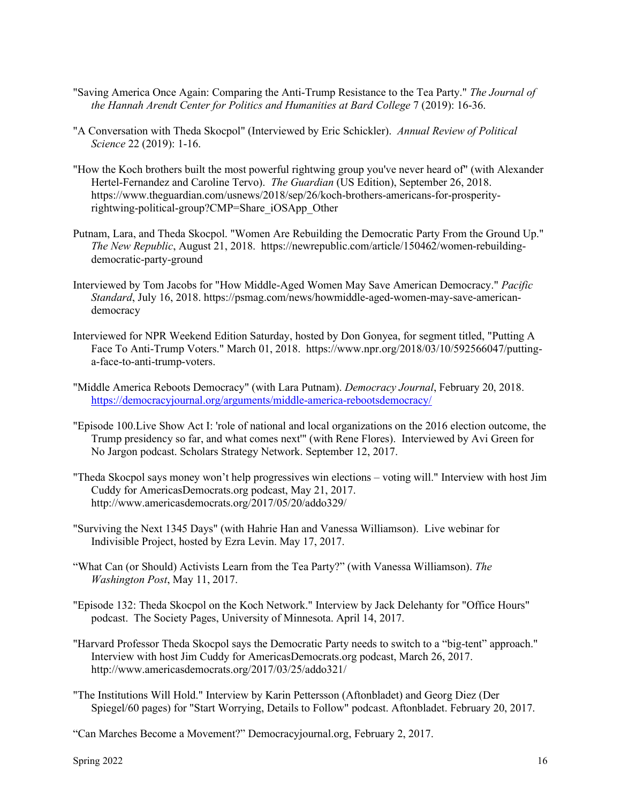- "Saving America Once Again: Comparing the Anti-Trump Resistance to the Tea Party." *The Journal of the Hannah Arendt Center for Politics and Humanities at Bard College* 7 (2019): 16-36.
- "A Conversation with Theda Skocpol" (Interviewed by Eric Schickler). *Annual Review of Political Science* 22 (2019): 1-16.
- "How the Koch brothers built the most powerful rightwing group you've never heard of" (with Alexander Hertel-Fernandez and Caroline Tervo). *The Guardian* (US Edition), September 26, 2018. https://www.theguardian.com/usnews/2018/sep/26/koch-brothers-americans-for-prosperityrightwing-political-group?CMP=Share\_iOSApp\_Other
- Putnam, Lara, and Theda Skocpol. "Women Are Rebuilding the Democratic Party From the Ground Up." *The New Republic*, August 21, 2018. https://newrepublic.com/article/150462/women-rebuildingdemocratic-party-ground
- Interviewed by Tom Jacobs for "How Middle-Aged Women May Save American Democracy." *Pacific Standard*, July 16, 2018. https://psmag.com/news/howmiddle-aged-women-may-save-americandemocracy
- Interviewed for NPR Weekend Edition Saturday, hosted by Don Gonyea, for segment titled, "Putting A Face To Anti-Trump Voters." March 01, 2018. https://www.npr.org/2018/03/10/592566047/puttinga-face-to-anti-trump-voters.
- "Middle America Reboots Democracy" (with Lara Putnam). *Democracy Journal*, February 20, 2018. <https://democracyjournal.org/arguments/middle-america-rebootsdemocracy/>
- "Episode 100.Live Show Act I: 'role of national and local organizations on the 2016 election outcome, the Trump presidency so far, and what comes next'" (with Rene Flores). Interviewed by Avi Green for No Jargon podcast. Scholars Strategy Network. September 12, 2017.
- "Theda Skocpol says money won't help progressives win elections voting will." Interview with host Jim Cuddy for AmericasDemocrats.org podcast, May 21, 2017. http://www.americasdemocrats.org/2017/05/20/addo329/
- "Surviving the Next 1345 Days" (with Hahrie Han and Vanessa Williamson). Live webinar for Indivisible Project, hosted by Ezra Levin. May 17, 2017.
- "What Can (or Should) Activists Learn from the Tea Party?" (with Vanessa Williamson). *The Washington Post*, May 11, 2017.
- "Episode 132: Theda Skocpol on the Koch Network." Interview by Jack Delehanty for "Office Hours" podcast. The Society Pages, University of Minnesota. April 14, 2017.
- "Harvard Professor Theda Skocpol says the Democratic Party needs to switch to a "big-tent" approach." Interview with host Jim Cuddy for AmericasDemocrats.org podcast, March 26, 2017. http://www.americasdemocrats.org/2017/03/25/addo321/
- "The Institutions Will Hold." Interview by Karin Pettersson (Aftonbladet) and Georg Diez (Der Spiegel/60 pages) for "Start Worrying, Details to Follow" podcast. Aftonbladet. February 20, 2017.

<sup>&</sup>quot;Can Marches Become a Movement?" Democracyjournal.org, February 2, 2017.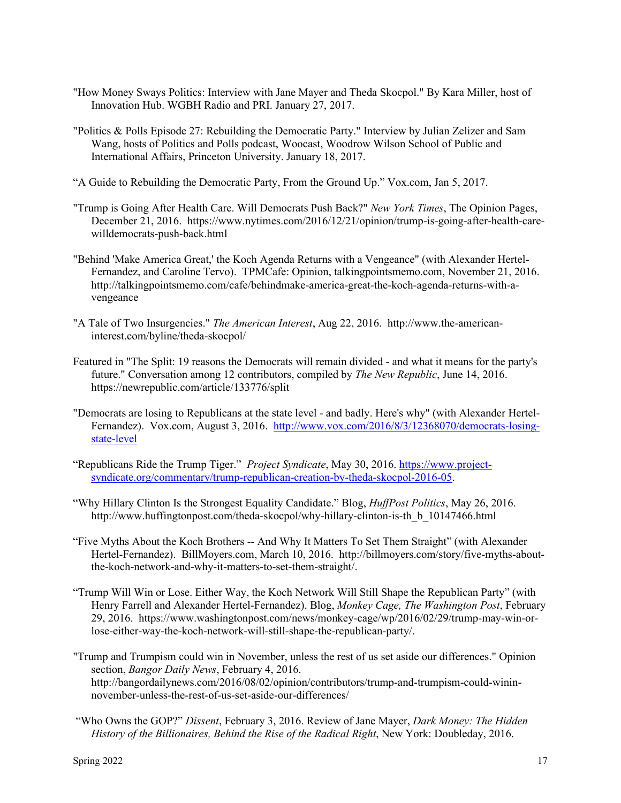- "How Money Sways Politics: Interview with Jane Mayer and Theda Skocpol." By Kara Miller, host of Innovation Hub. WGBH Radio and PRI. January 27, 2017.
- "Politics & Polls Episode 27: Rebuilding the Democratic Party." Interview by Julian Zelizer and Sam Wang, hosts of Politics and Polls podcast, Woocast, Woodrow Wilson School of Public and International Affairs, Princeton University. January 18, 2017.
- "A Guide to Rebuilding the Democratic Party, From the Ground Up." Vox.com, Jan 5, 2017.
- "Trump is Going After Health Care. Will Democrats Push Back?" *New York Times*, The Opinion Pages, December 21, 2016. https://www.nytimes.com/2016/12/21/opinion/trump-is-going-after-health-carewilldemocrats-push-back.html
- "Behind 'Make America Great,' the Koch Agenda Returns with a Vengeance" (with Alexander Hertel-Fernandez, and Caroline Tervo). TPMCafe: Opinion, talkingpointsmemo.com, November 21, 2016. http://talkingpointsmemo.com/cafe/behindmake-america-great-the-koch-agenda-returns-with-avengeance
- "A Tale of Two Insurgencies." *The American Interest*, Aug 22, 2016. http://www.the-americaninterest.com/byline/theda-skocpol/
- Featured in "The Split: 19 reasons the Democrats will remain divided and what it means for the party's future." Conversation among 12 contributors, compiled by *The New Republic*, June 14, 2016. https://newrepublic.com/article/133776/split
- "Democrats are losing to Republicans at the state level and badly. Here's why" (with Alexander Hertel-Fernandez). Vox.com, August 3, 2016. [http://www.vox.com/2016/8/3/12368070/democrats-losing](http://www.vox.com/2016/8/3/12368070/democrats-losing-state-level)[state-level](http://www.vox.com/2016/8/3/12368070/democrats-losing-state-level)
- "Republicans Ride the Trump Tiger." *Project Syndicate*, May 30, 2016[. https://www.project](https://www.project-syndicate.org/commentary/trump-republican-creation-by-theda-skocpol-2016-05)[syndicate.org/commentary/trump-republican-creation-by-theda-skocpol-2016-05.](https://www.project-syndicate.org/commentary/trump-republican-creation-by-theda-skocpol-2016-05)
- "Why Hillary Clinton Is the Strongest Equality Candidate." Blog, *HuffPost Politics*, May 26, 2016. http://www.huffingtonpost.com/theda-skocpol/why-hillary-clinton-is-th\_b\_10147466.html
- "Five Myths About the Koch Brothers -- And Why It Matters To Set Them Straight" (with Alexander Hertel-Fernandez). BillMoyers.com, March 10, 2016. http://billmoyers.com/story/five-myths-aboutthe-koch-network-and-why-it-matters-to-set-them-straight/.
- "Trump Will Win or Lose. Either Way, the Koch Network Will Still Shape the Republican Party" (with Henry Farrell and Alexander Hertel-Fernandez). Blog, *Monkey Cage, The Washington Post*, February 29, 2016. https://www.washingtonpost.com/news/monkey-cage/wp/2016/02/29/trump-may-win-orlose-either-way-the-koch-network-will-still-shape-the-republican-party/.
- "Trump and Trumpism could win in November, unless the rest of us set aside our differences." Opinion section, *Bangor Daily News*, February 4, 2016. http://bangordailynews.com/2016/08/02/opinion/contributors/trump-and-trumpism-could-wininnovember-unless-the-rest-of-us-set-aside-our-differences/
- "Who Owns the GOP?" *Dissent*, February 3, 2016. Review of Jane Mayer, *Dark Money: The Hidden History of the Billionaires, Behind the Rise of the Radical Right*, New York: Doubleday, 2016.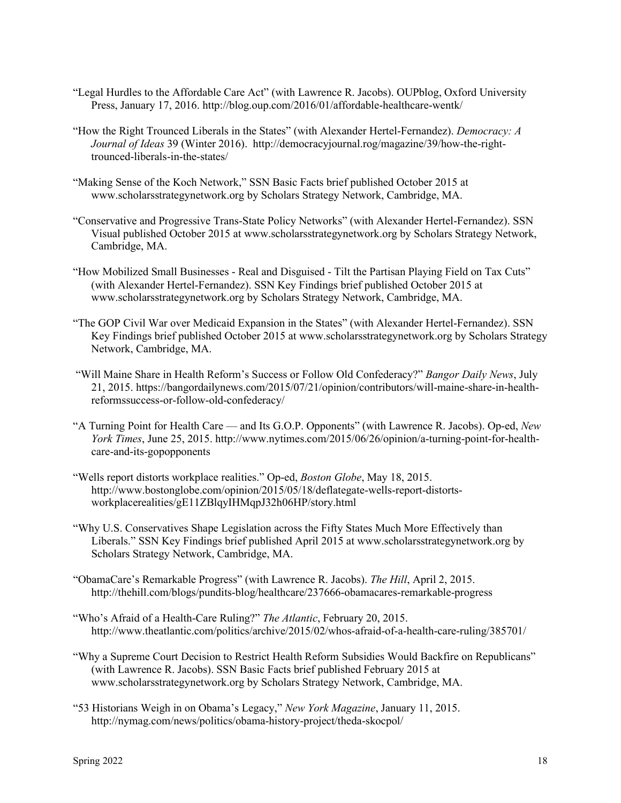- "Legal Hurdles to the Affordable Care Act" (with Lawrence R. Jacobs). OUPblog, Oxford University Press, January 17, 2016. http://blog.oup.com/2016/01/affordable-healthcare-wentk/
- "How the Right Trounced Liberals in the States" (with Alexander Hertel-Fernandez). *Democracy: A Journal of Ideas* 39 (Winter 2016). http://democracyjournal.rog/magazine/39/how-the-righttrounced-liberals-in-the-states/
- "Making Sense of the Koch Network," SSN Basic Facts brief published October 2015 at www.scholarsstrategynetwork.org by Scholars Strategy Network, Cambridge, MA.
- "Conservative and Progressive Trans-State Policy Networks" (with Alexander Hertel-Fernandez). SSN Visual published October 2015 at www.scholarsstrategynetwork.org by Scholars Strategy Network, Cambridge, MA.
- "How Mobilized Small Businesses Real and Disguised Tilt the Partisan Playing Field on Tax Cuts" (with Alexander Hertel-Fernandez). SSN Key Findings brief published October 2015 at www.scholarsstrategynetwork.org by Scholars Strategy Network, Cambridge, MA.
- "The GOP Civil War over Medicaid Expansion in the States" (with Alexander Hertel-Fernandez). SSN Key Findings brief published October 2015 at www.scholarsstrategynetwork.org by Scholars Strategy Network, Cambridge, MA.
- "Will Maine Share in Health Reform's Success or Follow Old Confederacy?" *Bangor Daily News*, July 21, 2015. https://bangordailynews.com/2015/07/21/opinion/contributors/will-maine-share-in-healthreformssuccess-or-follow-old-confederacy/
- "A Turning Point for Health Care and Its G.O.P. Opponents" (with Lawrence R. Jacobs). Op-ed, *New York Times*, June 25, 2015. http://www.nytimes.com/2015/06/26/opinion/a-turning-point-for-healthcare-and-its-gopopponents
- "Wells report distorts workplace realities." Op-ed, *Boston Globe*, May 18, 2015. http://www.bostonglobe.com/opinion/2015/05/18/deflategate-wells-report-distortsworkplacerealities/gE11ZBlqyIHMqpJ32h06HP/story.html
- "Why U.S. Conservatives Shape Legislation across the Fifty States Much More Effectively than Liberals." SSN Key Findings brief published April 2015 at www.scholarsstrategynetwork.org by Scholars Strategy Network, Cambridge, MA.
- "ObamaCare's Remarkable Progress" (with Lawrence R. Jacobs). *The Hill*, April 2, 2015. http://thehill.com/blogs/pundits-blog/healthcare/237666-obamacares-remarkable-progress
- "Who's Afraid of a Health-Care Ruling?" *The Atlantic*, February 20, 2015. http://www.theatlantic.com/politics/archive/2015/02/whos-afraid-of-a-health-care-ruling/385701/
- "Why a Supreme Court Decision to Restrict Health Reform Subsidies Would Backfire on Republicans" (with Lawrence R. Jacobs). SSN Basic Facts brief published February 2015 at www.scholarsstrategynetwork.org by Scholars Strategy Network, Cambridge, MA.
- "53 Historians Weigh in on Obama's Legacy," *New York Magazine*, January 11, 2015. http://nymag.com/news/politics/obama-history-project/theda-skocpol/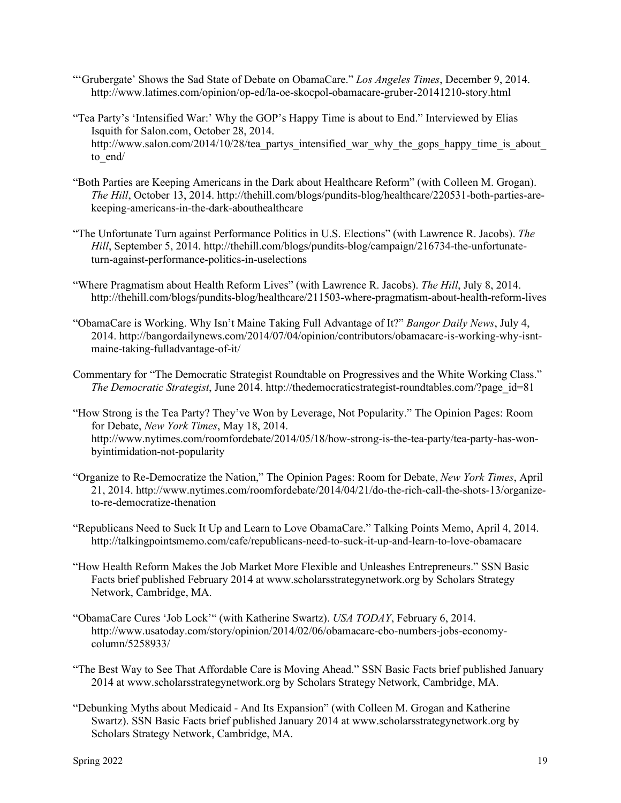- "'Grubergate' Shows the Sad State of Debate on ObamaCare." *Los Angeles Times*, December 9, 2014. http://www.latimes.com/opinion/op-ed/la-oe-skocpol-obamacare-gruber-20141210-story.html
- "Tea Party's 'Intensified War:' Why the GOP's Happy Time is about to End." Interviewed by Elias Isquith for Salon.com, October 28, 2014. http://www.salon.com/2014/10/28/tea\_partys\_intensified\_war\_why\_the\_gops\_happy\_time\_is\_about\_ to\_end/
- "Both Parties are Keeping Americans in the Dark about Healthcare Reform" (with Colleen M. Grogan). *The Hill*, October 13, 2014. http://thehill.com/blogs/pundits-blog/healthcare/220531-both-parties-arekeeping-americans-in-the-dark-abouthealthcare
- "The Unfortunate Turn against Performance Politics in U.S. Elections" (with Lawrence R. Jacobs). *The Hill*, September 5, 2014. http://thehill.com/blogs/pundits-blog/campaign/216734-the-unfortunateturn-against-performance-politics-in-uselections
- "Where Pragmatism about Health Reform Lives" (with Lawrence R. Jacobs). *The Hill*, July 8, 2014. http://thehill.com/blogs/pundits-blog/healthcare/211503-where-pragmatism-about-health-reform-lives
- "ObamaCare is Working. Why Isn't Maine Taking Full Advantage of It?" *Bangor Daily News*, July 4, 2014. http://bangordailynews.com/2014/07/04/opinion/contributors/obamacare-is-working-why-isntmaine-taking-fulladvantage-of-it/
- Commentary for "The Democratic Strategist Roundtable on Progressives and the White Working Class." *The Democratic Strategist*, June 2014. http://thedemocraticstrategist-roundtables.com/?page\_id=81
- "How Strong is the Tea Party? They've Won by Leverage, Not Popularity." The Opinion Pages: Room for Debate, *New York Times*, May 18, 2014. http://www.nytimes.com/roomfordebate/2014/05/18/how-strong-is-the-tea-party/tea-party-has-wonbyintimidation-not-popularity
- "Organize to Re-Democratize the Nation," The Opinion Pages: Room for Debate, *New York Times*, April 21, 2014. http://www.nytimes.com/roomfordebate/2014/04/21/do-the-rich-call-the-shots-13/organizeto-re-democratize-thenation
- "Republicans Need to Suck It Up and Learn to Love ObamaCare." Talking Points Memo, April 4, 2014. http://talkingpointsmemo.com/cafe/republicans-need-to-suck-it-up-and-learn-to-love-obamacare
- "How Health Reform Makes the Job Market More Flexible and Unleashes Entrepreneurs." SSN Basic Facts brief published February 2014 at www.scholarsstrategynetwork.org by Scholars Strategy Network, Cambridge, MA.
- "ObamaCare Cures 'Job Lock'" (with Katherine Swartz). *USA TODAY*, February 6, 2014. http://www.usatoday.com/story/opinion/2014/02/06/obamacare-cbo-numbers-jobs-economycolumn/5258933/
- "The Best Way to See That Affordable Care is Moving Ahead." SSN Basic Facts brief published January 2014 at www.scholarsstrategynetwork.org by Scholars Strategy Network, Cambridge, MA.
- "Debunking Myths about Medicaid And Its Expansion" (with Colleen M. Grogan and Katherine Swartz). SSN Basic Facts brief published January 2014 at www.scholarsstrategynetwork.org by Scholars Strategy Network, Cambridge, MA.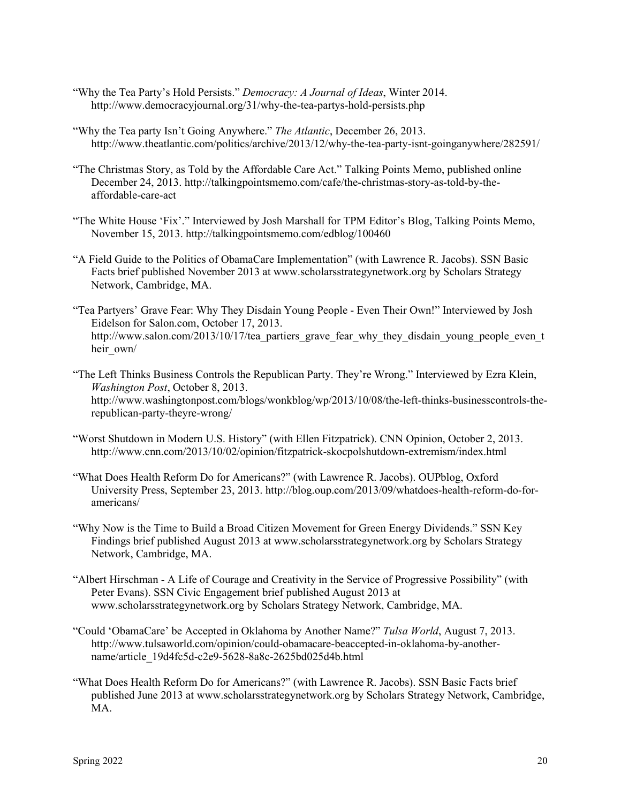- "Why the Tea Party's Hold Persists." *Democracy: A Journal of Ideas*, Winter 2014. http://www.democracyjournal.org/31/why-the-tea-partys-hold-persists.php
- "Why the Tea party Isn't Going Anywhere." *The Atlantic*, December 26, 2013. http://www.theatlantic.com/politics/archive/2013/12/why-the-tea-party-isnt-goinganywhere/282591/
- "The Christmas Story, as Told by the Affordable Care Act." Talking Points Memo, published online December 24, 2013. http://talkingpointsmemo.com/cafe/the-christmas-story-as-told-by-theaffordable-care-act
- "The White House 'Fix'." Interviewed by Josh Marshall for TPM Editor's Blog, Talking Points Memo, November 15, 2013. http://talkingpointsmemo.com/edblog/100460
- "A Field Guide to the Politics of ObamaCare Implementation" (with Lawrence R. Jacobs). SSN Basic Facts brief published November 2013 at www.scholarsstrategynetwork.org by Scholars Strategy Network, Cambridge, MA.
- "Tea Partyers' Grave Fear: Why They Disdain Young People Even Their Own!" Interviewed by Josh Eidelson for Salon.com, October 17, 2013. http://www.salon.com/2013/10/17/tea partiers grave fear why they disdain young people even t heir\_own/
- "The Left Thinks Business Controls the Republican Party. They're Wrong." Interviewed by Ezra Klein, *Washington Post*, October 8, 2013. http://www.washingtonpost.com/blogs/wonkblog/wp/2013/10/08/the-left-thinks-businesscontrols-therepublican-party-theyre-wrong/
- "Worst Shutdown in Modern U.S. History" (with Ellen Fitzpatrick). CNN Opinion, October 2, 2013. http://www.cnn.com/2013/10/02/opinion/fitzpatrick-skocpolshutdown-extremism/index.html
- "What Does Health Reform Do for Americans?" (with Lawrence R. Jacobs). OUPblog, Oxford University Press, September 23, 2013. http://blog.oup.com/2013/09/whatdoes-health-reform-do-foramericans/
- "Why Now is the Time to Build a Broad Citizen Movement for Green Energy Dividends." SSN Key Findings brief published August 2013 at www.scholarsstrategynetwork.org by Scholars Strategy Network, Cambridge, MA.
- "Albert Hirschman A Life of Courage and Creativity in the Service of Progressive Possibility" (with Peter Evans). SSN Civic Engagement brief published August 2013 at www.scholarsstrategynetwork.org by Scholars Strategy Network, Cambridge, MA.
- "Could 'ObamaCare' be Accepted in Oklahoma by Another Name?" *Tulsa World*, August 7, 2013. http://www.tulsaworld.com/opinion/could-obamacare-beaccepted-in-oklahoma-by-anothername/article\_19d4fc5d-c2e9-5628-8a8c-2625bd025d4b.html
- "What Does Health Reform Do for Americans?" (with Lawrence R. Jacobs). SSN Basic Facts brief published June 2013 at www.scholarsstrategynetwork.org by Scholars Strategy Network, Cambridge, MA.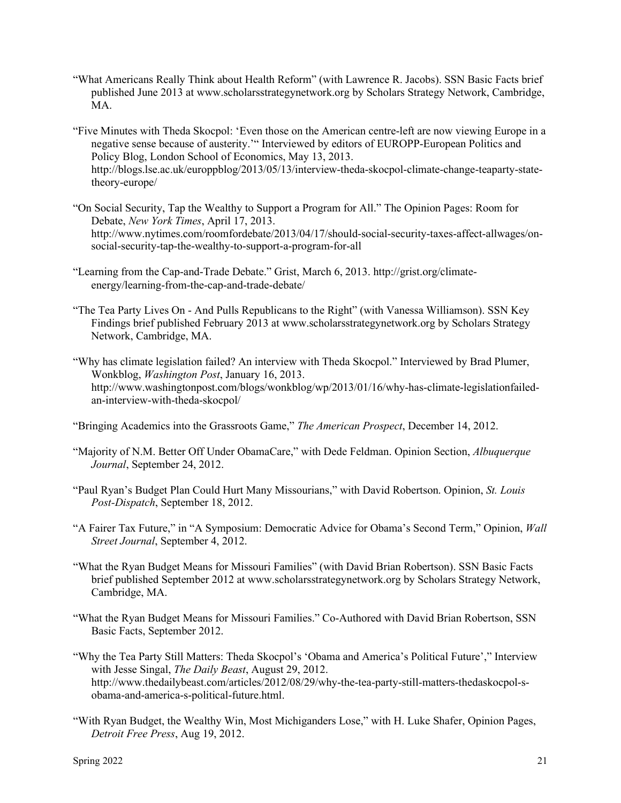- "What Americans Really Think about Health Reform" (with Lawrence R. Jacobs). SSN Basic Facts brief published June 2013 at www.scholarsstrategynetwork.org by Scholars Strategy Network, Cambridge, MA.
- "Five Minutes with Theda Skocpol: 'Even those on the American centre-left are now viewing Europe in a negative sense because of austerity.'" Interviewed by editors of EUROPP-European Politics and Policy Blog, London School of Economics, May 13, 2013. http://blogs.lse.ac.uk/europpblog/2013/05/13/interview-theda-skocpol-climate-change-teaparty-statetheory-europe/
- "On Social Security, Tap the Wealthy to Support a Program for All." The Opinion Pages: Room for Debate, *New York Times*, April 17, 2013. http://www.nytimes.com/roomfordebate/2013/04/17/should-social-security-taxes-affect-allwages/onsocial-security-tap-the-wealthy-to-support-a-program-for-all
- "Learning from the Cap-and-Trade Debate." Grist, March 6, 2013. http://grist.org/climateenergy/learning-from-the-cap-and-trade-debate/
- "The Tea Party Lives On And Pulls Republicans to the Right" (with Vanessa Williamson). SSN Key Findings brief published February 2013 at www.scholarsstrategynetwork.org by Scholars Strategy Network, Cambridge, MA.
- "Why has climate legislation failed? An interview with Theda Skocpol." Interviewed by Brad Plumer, Wonkblog, *Washington Post*, January 16, 2013. http://www.washingtonpost.com/blogs/wonkblog/wp/2013/01/16/why-has-climate-legislationfailedan-interview-with-theda-skocpol/
- "Bringing Academics into the Grassroots Game," *The American Prospect*, December 14, 2012.
- "Majority of N.M. Better Off Under ObamaCare," with Dede Feldman. Opinion Section, *Albuquerque Journal*, September 24, 2012.
- "Paul Ryan's Budget Plan Could Hurt Many Missourians," with David Robertson. Opinion, *St. Louis Post-Dispatch*, September 18, 2012.
- "A Fairer Tax Future," in "A Symposium: Democratic Advice for Obama's Second Term," Opinion, *Wall Street Journal*, September 4, 2012.
- "What the Ryan Budget Means for Missouri Families" (with David Brian Robertson). SSN Basic Facts brief published September 2012 at www.scholarsstrategynetwork.org by Scholars Strategy Network, Cambridge, MA.
- "What the Ryan Budget Means for Missouri Families." Co-Authored with David Brian Robertson, SSN Basic Facts, September 2012.
- "Why the Tea Party Still Matters: Theda Skocpol's 'Obama and America's Political Future'," Interview with Jesse Singal, *The Daily Beast*, August 29, 2012. http://www.thedailybeast.com/articles/2012/08/29/why-the-tea-party-still-matters-thedaskocpol-sobama-and-america-s-political-future.html.
- "With Ryan Budget, the Wealthy Win, Most Michiganders Lose," with H. Luke Shafer, Opinion Pages, *Detroit Free Press*, Aug 19, 2012.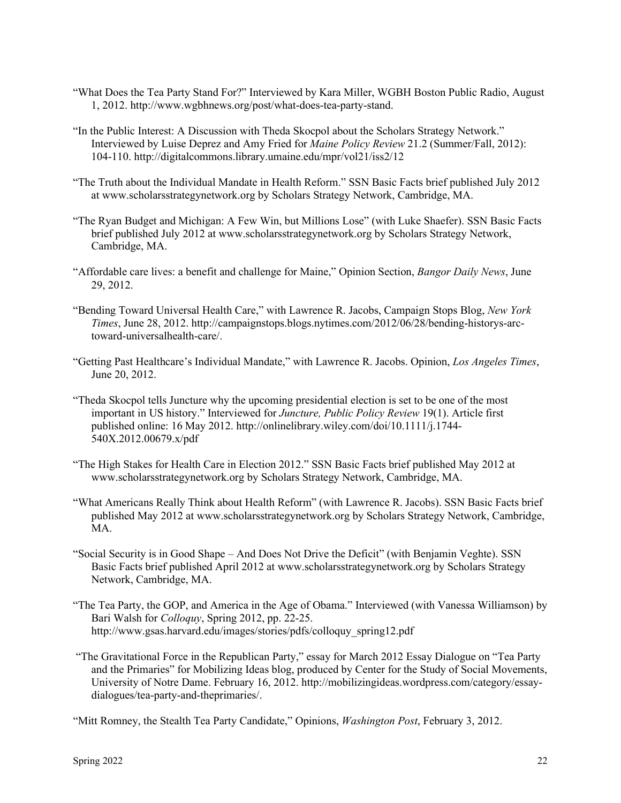- "What Does the Tea Party Stand For?" Interviewed by Kara Miller, WGBH Boston Public Radio, August 1, 2012. http://www.wgbhnews.org/post/what-does-tea-party-stand.
- "In the Public Interest: A Discussion with Theda Skocpol about the Scholars Strategy Network." Interviewed by Luise Deprez and Amy Fried for *Maine Policy Review* 21.2 (Summer/Fall, 2012): 104-110. http://digitalcommons.library.umaine.edu/mpr/vol21/iss2/12
- "The Truth about the Individual Mandate in Health Reform." SSN Basic Facts brief published July 2012 at www.scholarsstrategynetwork.org by Scholars Strategy Network, Cambridge, MA.
- "The Ryan Budget and Michigan: A Few Win, but Millions Lose" (with Luke Shaefer). SSN Basic Facts brief published July 2012 at www.scholarsstrategynetwork.org by Scholars Strategy Network, Cambridge, MA.
- "Affordable care lives: a benefit and challenge for Maine," Opinion Section, *Bangor Daily News*, June 29, 2012.
- "Bending Toward Universal Health Care," with Lawrence R. Jacobs, Campaign Stops Blog, *New York Times*, June 28, 2012. http://campaignstops.blogs.nytimes.com/2012/06/28/bending-historys-arctoward-universalhealth-care/.
- "Getting Past Healthcare's Individual Mandate," with Lawrence R. Jacobs. Opinion, *Los Angeles Times*, June 20, 2012.
- "Theda Skocpol tells Juncture why the upcoming presidential election is set to be one of the most important in US history." Interviewed for *Juncture, Public Policy Review* 19(1). Article first published online: 16 May 2012. http://onlinelibrary.wiley.com/doi/10.1111/j.1744- 540X.2012.00679.x/pdf
- "The High Stakes for Health Care in Election 2012." SSN Basic Facts brief published May 2012 at www.scholarsstrategynetwork.org by Scholars Strategy Network, Cambridge, MA.
- "What Americans Really Think about Health Reform" (with Lawrence R. Jacobs). SSN Basic Facts brief published May 2012 at www.scholarsstrategynetwork.org by Scholars Strategy Network, Cambridge, MA.
- "Social Security is in Good Shape And Does Not Drive the Deficit" (with Benjamin Veghte). SSN Basic Facts brief published April 2012 at www.scholarsstrategynetwork.org by Scholars Strategy Network, Cambridge, MA.
- "The Tea Party, the GOP, and America in the Age of Obama." Interviewed (with Vanessa Williamson) by Bari Walsh for *Colloquy*, Spring 2012, pp. 22-25. http://www.gsas.harvard.edu/images/stories/pdfs/colloquy\_spring12.pdf
- "The Gravitational Force in the Republican Party," essay for March 2012 Essay Dialogue on "Tea Party and the Primaries" for Mobilizing Ideas blog, produced by Center for the Study of Social Movements, University of Notre Dame. February 16, 2012. http://mobilizingideas.wordpress.com/category/essaydialogues/tea-party-and-theprimaries/.

"Mitt Romney, the Stealth Tea Party Candidate," Opinions, *Washington Post*, February 3, 2012.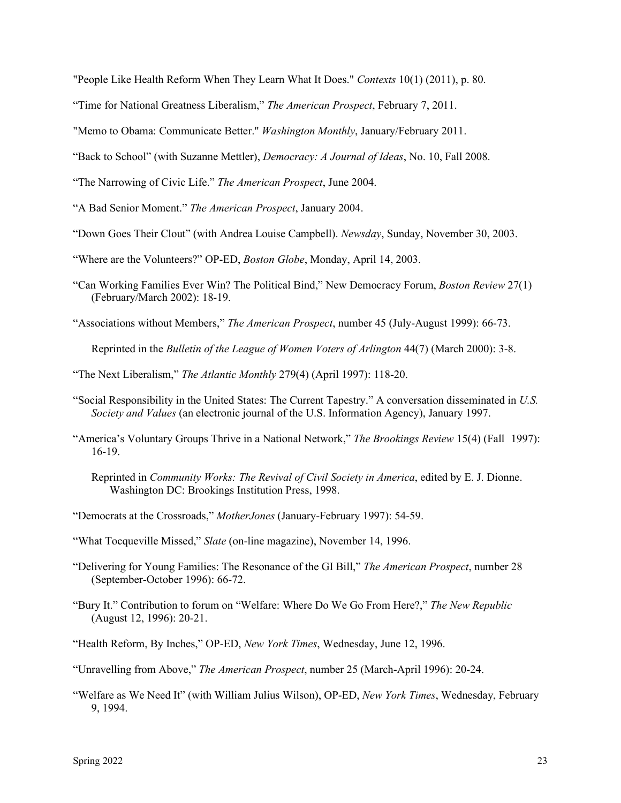"People Like Health Reform When They Learn What It Does." *Contexts* 10(1) (2011), p. 80.

"Time for National Greatness Liberalism," *The American Prospect*, February 7, 2011.

"Memo to Obama: Communicate Better." *Washington Monthly*, January/February 2011.

"Back to School" (with Suzanne Mettler), *Democracy: A Journal of Ideas*, No. 10, Fall 2008.

"The Narrowing of Civic Life." *The American Prospect*, June 2004.

"A Bad Senior Moment." *The American Prospect*, January 2004.

- "Down Goes Their Clout" (with Andrea Louise Campbell). *Newsday*, Sunday, November 30, 2003.
- "Where are the Volunteers?" OP-ED, *Boston Globe*, Monday, April 14, 2003.
- "Can Working Families Ever Win? The Political Bind," New Democracy Forum, *Boston Review* 27(1) (February/March 2002): 18-19.

"Associations without Members," *The American Prospect*, number 45 (July-August 1999): 66-73.

Reprinted in the *Bulletin of the League of Women Voters of Arlington* 44(7) (March 2000): 3-8.

- "The Next Liberalism," *The Atlantic Monthly* 279(4) (April 1997): 118-20.
- "Social Responsibility in the United States: The Current Tapestry." A conversation disseminated in *U.S. Society and Values* (an electronic journal of the U.S. Information Agency), January 1997.
- "America's Voluntary Groups Thrive in a National Network," *The Brookings Review* 15(4) (Fall 1997): 16-19.
	- Reprinted in *Community Works: The Revival of Civil Society in America*, edited by E. J. Dionne. Washington DC: Brookings Institution Press, 1998.
- "Democrats at the Crossroads," *MotherJones* (January-February 1997): 54-59.
- "What Tocqueville Missed," *Slate* (on-line magazine), November 14, 1996.
- "Delivering for Young Families: The Resonance of the GI Bill," *The American Prospect*, number 28 (September-October 1996): 66-72.
- "Bury It." Contribution to forum on "Welfare: Where Do We Go From Here?," *The New Republic* (August 12, 1996): 20-21.
- "Health Reform, By Inches," OP-ED, *New York Times*, Wednesday, June 12, 1996.
- "Unravelling from Above," *The American Prospect*, number 25 (March-April 1996): 20-24.
- "Welfare as We Need It" (with William Julius Wilson), OP-ED, *New York Times*, Wednesday, February 9, 1994.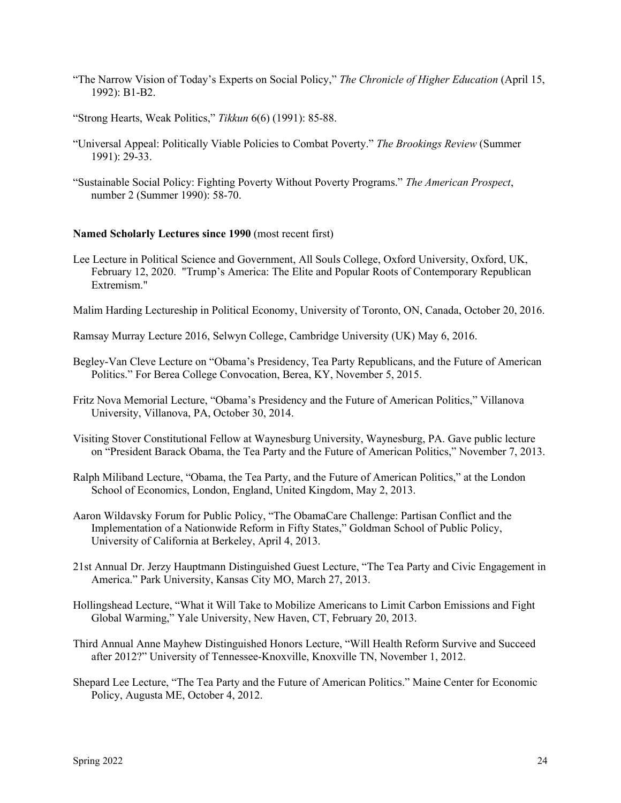- "The Narrow Vision of Today's Experts on Social Policy," *The Chronicle of Higher Education* (April 15, 1992): B1-B2.
- "Strong Hearts, Weak Politics," *Tikkun* 6(6) (1991): 85-88.
- "Universal Appeal: Politically Viable Policies to Combat Poverty." *The Brookings Review* (Summer 1991): 29-33.
- "Sustainable Social Policy: Fighting Poverty Without Poverty Programs." *The American Prospect*, number 2 (Summer 1990): 58-70.

### **Named Scholarly Lectures since 1990** (most recent first)

- Lee Lecture in Political Science and Government, All Souls College, Oxford University, Oxford, UK, February 12, 2020. "Trump's America: The Elite and Popular Roots of Contemporary Republican Extremism."
- Malim Harding Lectureship in Political Economy, University of Toronto, ON, Canada, October 20, 2016.
- Ramsay Murray Lecture 2016, Selwyn College, Cambridge University (UK) May 6, 2016.
- Begley-Van Cleve Lecture on "Obama's Presidency, Tea Party Republicans, and the Future of American Politics." For Berea College Convocation, Berea, KY, November 5, 2015.
- Fritz Nova Memorial Lecture, "Obama's Presidency and the Future of American Politics," Villanova University, Villanova, PA, October 30, 2014.
- Visiting Stover Constitutional Fellow at Waynesburg University, Waynesburg, PA. Gave public lecture on "President Barack Obama, the Tea Party and the Future of American Politics," November 7, 2013.
- Ralph Miliband Lecture, "Obama, the Tea Party, and the Future of American Politics," at the London School of Economics, London, England, United Kingdom, May 2, 2013.
- Aaron Wildavsky Forum for Public Policy, "The ObamaCare Challenge: Partisan Conflict and the Implementation of a Nationwide Reform in Fifty States," Goldman School of Public Policy, University of California at Berkeley, April 4, 2013.
- 21st Annual Dr. Jerzy Hauptmann Distinguished Guest Lecture, "The Tea Party and Civic Engagement in America." Park University, Kansas City MO, March 27, 2013.
- Hollingshead Lecture, "What it Will Take to Mobilize Americans to Limit Carbon Emissions and Fight Global Warming," Yale University, New Haven, CT, February 20, 2013.
- Third Annual Anne Mayhew Distinguished Honors Lecture, "Will Health Reform Survive and Succeed after 2012?" University of Tennessee-Knoxville, Knoxville TN, November 1, 2012.
- Shepard Lee Lecture, "The Tea Party and the Future of American Politics." Maine Center for Economic Policy, Augusta ME, October 4, 2012.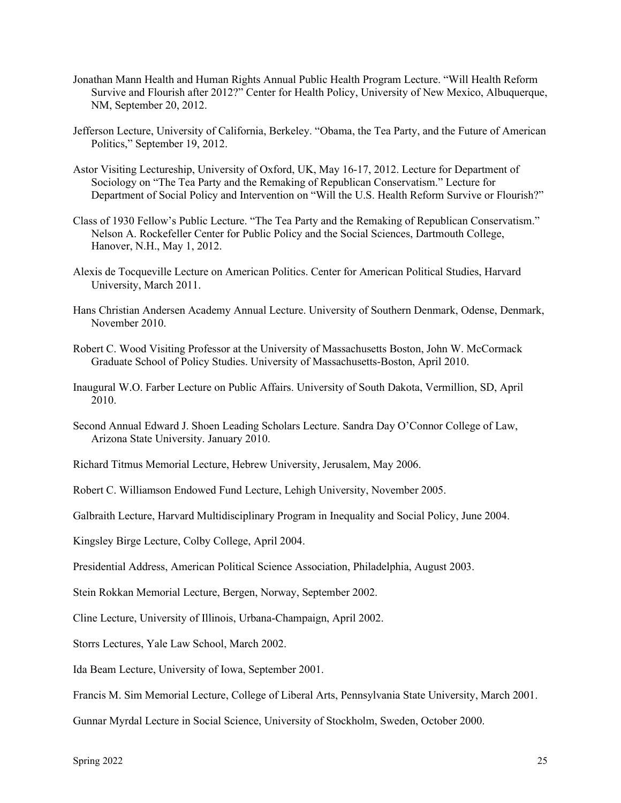- Jonathan Mann Health and Human Rights Annual Public Health Program Lecture. "Will Health Reform Survive and Flourish after 2012?" Center for Health Policy, University of New Mexico, Albuquerque, NM, September 20, 2012.
- Jefferson Lecture, University of California, Berkeley. "Obama, the Tea Party, and the Future of American Politics," September 19, 2012.
- Astor Visiting Lectureship, University of Oxford, UK, May 16-17, 2012. Lecture for Department of Sociology on "The Tea Party and the Remaking of Republican Conservatism." Lecture for Department of Social Policy and Intervention on "Will the U.S. Health Reform Survive or Flourish?"
- Class of 1930 Fellow's Public Lecture. "The Tea Party and the Remaking of Republican Conservatism." Nelson A. Rockefeller Center for Public Policy and the Social Sciences, Dartmouth College, Hanover, N.H., May 1, 2012.
- Alexis de Tocqueville Lecture on American Politics. Center for American Political Studies, Harvard University, March 2011.
- Hans Christian Andersen Academy Annual Lecture. University of Southern Denmark, Odense, Denmark, November 2010.
- Robert C. Wood Visiting Professor at the University of Massachusetts Boston, John W. McCormack Graduate School of Policy Studies. University of Massachusetts-Boston, April 2010.
- Inaugural W.O. Farber Lecture on Public Affairs. University of South Dakota, Vermillion, SD, April 2010.
- Second Annual Edward J. Shoen Leading Scholars Lecture. Sandra Day O'Connor College of Law, Arizona State University. January 2010.
- Richard Titmus Memorial Lecture, Hebrew University, Jerusalem, May 2006.
- Robert C. Williamson Endowed Fund Lecture, Lehigh University, November 2005.

Galbraith Lecture, Harvard Multidisciplinary Program in Inequality and Social Policy, June 2004.

Kingsley Birge Lecture, Colby College, April 2004.

Presidential Address, American Political Science Association, Philadelphia, August 2003.

- Stein Rokkan Memorial Lecture, Bergen, Norway, September 2002.
- Cline Lecture, University of Illinois, Urbana-Champaign, April 2002.

Storrs Lectures, Yale Law School, March 2002.

Ida Beam Lecture, University of Iowa, September 2001.

Francis M. Sim Memorial Lecture, College of Liberal Arts, Pennsylvania State University, March 2001.

Gunnar Myrdal Lecture in Social Science, University of Stockholm, Sweden, October 2000.